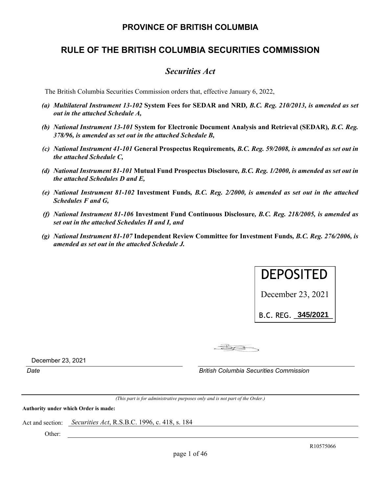# **PROVINCE OF BRITISH COLUMBIA**

# **RULE OF THE BRITISH COLUMBIA SECURITIES COMMISSION**

# *Securities Act*

The British Columbia Securities Commission orders that, effective January 6, 2022,

- *(a) Multilateral Instrument 13-102* **System Fees for SEDAR and NRD***, B.C. Reg. 210/2013, is amended as set out in the attached Schedule A,*
- *(b) National Instrument 13-101* **System for Electronic Document Analysis and Retrieval (SEDAR)***, B.C. Reg. 378/96, is amended as set out in the attached Schedule B,*
- *(c) National Instrument 41-101* **General Prospectus Requirements***, B.C. Reg. 59/2008, is amended as set out in the attached Schedule C,*
- *(d) National Instrument 81-101* **Mutual Fund Prospectus Disclosure***, B.C. Reg. 1/2000, is amended as set out in the attached Schedules D and E,*
- *(e) National Instrument 81-102* **Investment Funds***, B.C. Reg. 2/2000, is amended as set out in the attached Schedules F and G,*
- *(f) National Instrument 81-106* **Investment Fund Continuous Disclosure***, B.C. Reg. 218/2005, is amended as set out in the attached Schedules H and I, and*
- *(g) National Instrument 81-107* **Independent Review Committee for Investment Funds***, B.C. Reg. 276/2006, is amended as set out in the attached Schedule J.*



B.C.REG.\_\_\_\_\_\_\_\_\_\_ **345/2021**

 $-B2$ 

December 23, 2021

*Date British Columbia Securities Commission* 

*(This part is for administrative purposes only and is not part of the Order.)* 

**Authority under which Order is made:** 

Act and section: *Securities Act*, R.S.B.C. 1996, c. 418, s. 184

Other: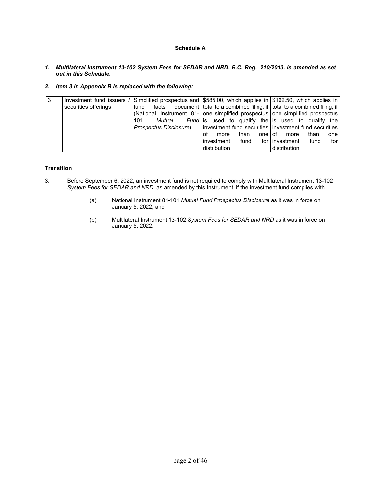# **Schedule A**

- *1. Multilateral Instrument 13-102 System Fees for SEDAR and NRD, B.C. Reg. 210/2013, is amended as set out in this Schedule.*
- *2. Item 3 in Appendix B is replaced with the following:*

| 3 |                      |                        | Investment fund issuers / Simplified prospectus and \$585.00, which applies in \$162.50, which applies in |                                  |
|---|----------------------|------------------------|-----------------------------------------------------------------------------------------------------------|----------------------------------|
|   | securities offerings | fund                   | facts document   total to a combined filing, if   total to a combined filing, if                          |                                  |
|   |                      |                        | (National Instrument 81- one simplified prospectus one simplified prospectus                              |                                  |
|   |                      | Mutual<br>101          | <i>Fund</i> is used to qualify the is used to qualify the                                                 |                                  |
|   |                      | Prospectus Disclosure) | investment fund securities investment fund securities                                                     |                                  |
|   |                      |                        | onelof<br>than<br>οf<br>more                                                                              | than<br>more<br>one l            |
|   |                      |                        | fund<br>investment                                                                                        | for linvestment<br>for l<br>fund |
|   |                      |                        | distribution                                                                                              | distribution                     |

# **Transition**

- 3. Before September 6, 2022, an investment fund is not required to comply with Multilateral Instrument 13-102 *System Fees for SEDAR and NRD*, as amended by this Instrument, if the investment fund complies with
	- (a) National Instrument 81-101 *Mutual Fund Prospectus Disclosure* as it was in force on January 5, 2022, and
	- (b) Multilateral Instrument 13-102 *System Fees for SEDAR and NRD* as it was in force on January 5, 2022.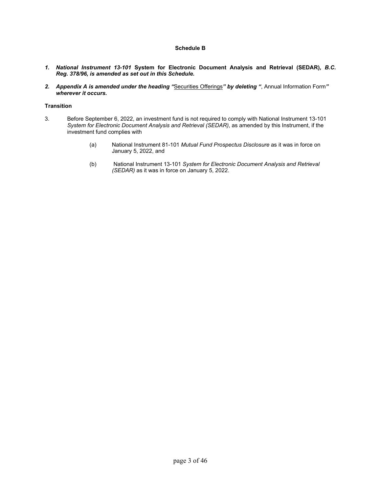# **Schedule B**

- *1. National Instrument 13-101* **System for Electronic Document Analysis and Retrieval (SEDAR)***, B.C. Reg. 378/96, is amended as set out in this Schedule.*
- *2. Appendix A is amended under the heading "*Securities Offerings*" by deleting "*, Annual Information Form*" wherever it occurs.*

# **Transition**

- 3. Before September 6, 2022, an investment fund is not required to comply with National Instrument 13-101 *System for Electronic Document Analysis and Retrieval (SEDAR)*, as amended by this Instrument, if the investment fund complies with
	- (a) National Instrument 81-101 *Mutual Fund Prospectus Disclosure* as it was in force on January 5, 2022, and
	- (b) National Instrument 13-101 *System for Electronic Document Analysis and Retrieval (SEDAR)* as it was in force on January 5, 2022.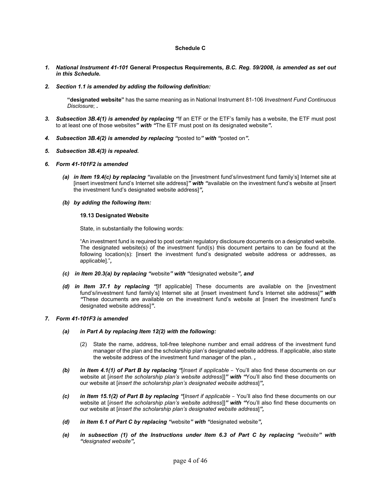# **Schedule C**

- *1. National Instrument 41-101* **General Prospectus Requirements***, B.C. Reg. 59/2008, is amended as set out in this Schedule.*
- *2. Section 1.1 is amended by adding the following definition:*

**"designated website"** has the same meaning as in National Instrument 81-106 *Investment Fund Continuous Disclosure*; *.* 

- *3. Subsection 3B.4(1) is amended by replacing "*If an ETF or the ETF's family has a website, the ETF must post to at least one of those websites*" with "*The ETF must post on its designated website*".*
- *4. Subsection 3B.4(2) is amended by replacing "*posted to*" with "*posted on*".*
- *5. Subsection 3B.4(3) is repealed***.**
- *6. Form 41-101F2 is amended* 
	- *(a) in Item 19.4(c) by replacing "*available on the [investment fund's/investment fund family's] Internet site at [insert investment fund's Internet site address]*" with "*available on the investment fund's website at [insert the investment fund's designated website address]*",*
	- *(b) by adding the following Item:*

# **19.13 Designated Website**

State, in substantially the following words:

"An investment fund is required to post certain regulatory disclosure documents on a designated website. The designated website(s) of the investment fund(s) this document pertains to can be found at the following location(s): [insert the investment fund's designated website address or addresses, as applicable]."*,*

- *(c) in Item 20.3(a) by replacing "*website*" with "*designated website*", and*
- *(d) in Item 37.1 by replacing "*[If applicable] These documents are available on the [investment fund's/investment fund family's] Internet site at [insert investment fund's Internet site address]*" with "*These documents are available on the investment fund's website at [insert the investment fund's designated website address]*"***.**

# *7. Form 41-101F3 is amended*

- *(a) in Part A by replacing Item 12(2) with the following:* 
	- (2) State the name, address, toll-free telephone number and email address of the investment fund manager of the plan and the scholarship plan's designated website address. If applicable, also state the website address of the investment fund manager of the plan. *,*
- *(b) in Item 4.1(1) of Part B by replacing "*[*Insert if applicable* You'll also find these documents on our website at [*insert the scholarship plan's website address*]]*" with "*You'll also find these documents on our website at [*insert the scholarship plan's designated website address*]*"***,**
- *(c) in Item 15.1(2) of Part B by replacing "*[*Insert if applicable* You'll also find these documents on our website at [*insert the scholarship plan's website address*]]*" with "*You'll also find these documents on our website at [*insert the scholarship plan's designated website address*]*",*
- *(d) in Item 6.1 of Part C by replacing "*website*" with "*designated website*",*
- *(e) in subsection (1) of the Instructions under Item 6.3 of Part C by replacing "website" with "designated website",*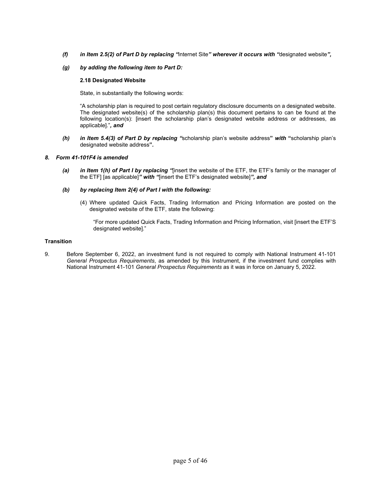- *(f) in Item 2.5(2) of Part D by replacing "*Internet Site*" wherever it occurs with "*designated website*",*
- *(g) by adding the following item to Part D:*

# **2.18 Designated Website**

State, in substantially the following words:

"A scholarship plan is required to post certain regulatory disclosure documents on a designated website. The designated website(s) of the scholarship plan(s) this document pertains to can be found at the following location(s): [insert the scholarship plan's designated website address or addresses, as applicable]."*, and*

*(h) in Item 5.4(3) of Part D by replacing "*scholarship plan's website address**"** *with* **"**scholarship plan's designated website address**"***.*

# *8. Form 41-101F4 is amended*

*(a) in Item 1(h) of Part I by replacing "*[insert the website of the ETF, the ETF's family or the manager of the ETF] [as applicable]*" with "*[insert the ETF's designated website]*", and* 

# *(b) by replacing Item 2(4) of Part I with the following:*

 (4) Where updated Quick Facts, Trading Information and Pricing Information are posted on the designated website of the ETF, state the following:

"For more updated Quick Facts, Trading Information and Pricing Information, visit [insert the ETF'S designated website]."

# **Transition**

9. Before September 6, 2022, an investment fund is not required to comply with National Instrument 41-101 *General Prospectus Requirements*, as amended by this Instrument, if the investment fund complies with National Instrument 41-101 *General Prospectus Requirements* as it was in force on January 5, 2022.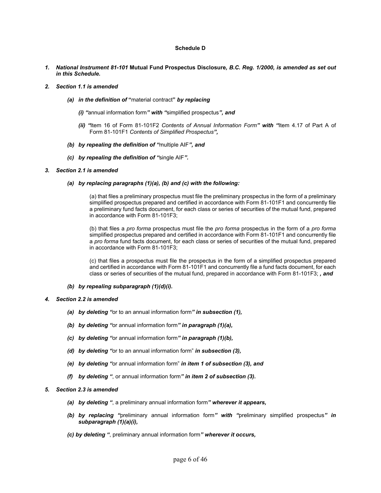# **Schedule D**

*1. National Instrument 81-101* **Mutual Fund Prospectus Disclosure***, B.C. Reg. 1/2000, is amended as set out in this Schedule.* 

#### *2. Section 1.1 is amended*

- *(a) in the definition of* **"**material contract**"** *by replacing* 
	- *(i) "*annual information form*" with "*simplified prospectus*", and*
	- *(ii) "*Item 16 of Form 81-101F2 *Contents of Annual Information Form" with "*Item 4.17 of Part A of Form 81-101F1 *Contents of Simplified Prospectus",*
- *(b) by repealing the definition of "*multiple AIF*", and*
- *(c) by repealing the definition of "*single AIF*".*

#### *3. Section 2.1 is amended*

*(a) by replacing paragraphs (1)(a), (b) and (c) with the following:* 

(a) that files a preliminary prospectus must file the preliminary prospectus in the form of a preliminary simplified prospectus prepared and certified in accordance with Form 81-101F1 and concurrently file a preliminary fund facts document, for each class or series of securities of the mutual fund, prepared in accordance with Form 81-101F3;

(b) that files a *pro forma* prospectus must file the *pro forma* prospectus in the form of a *pro forma* simplified prospectus prepared and certified in accordance with Form 81-101F1 and concurrently file a *pro forma* fund facts document, for each class or series of securities of the mutual fund, prepared in accordance with Form 81-101F3;

(c) that files a prospectus must file the prospectus in the form of a simplified prospectus prepared and certified in accordance with Form 81-101F1 and concurrently file a fund facts document, for each class or series of securities of the mutual fund, prepared in accordance with Form 81-101F3; *, and* 

- *(b) by repealing subparagraph (1)(d)(i).*
- *4. Section 2.2 is amended* 
	- *(a) by deleting "*or to an annual information form*" in subsection (1),*
	- *(b) by deleting "*or annual information form*" in paragraph (1)(a),*
	- *(c) by deleting "*or annual information form*" in paragraph (1)(b),*
	- *(d) by deleting "*or to an annual information form" *in subsection (3),*
	- *(e) by deleting "*or annual information form" *in item 1 of subsection (3), and*
	- *(f) by deleting "*, or annual information form*" in item 2 of subsection (3).*
- *5. Section 2.3 is amended* 
	- *(a) by deleting "*, a preliminary annual information form*" wherever it appears,*
	- *(b) by replacing "*preliminary annual information form*" with "*preliminary simplified prospectus*" in subparagraph (1)(a)(i),*
	- *(c) by deleting "*, preliminary annual information form*" wherever it occurs,*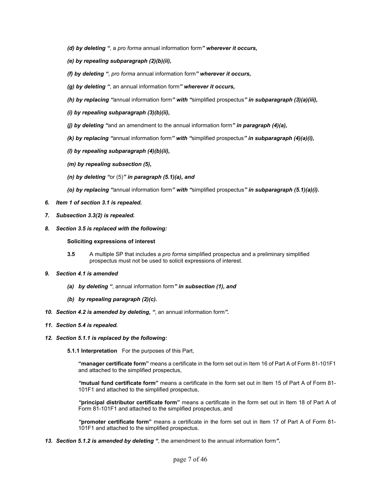- *(d) by deleting "*, a *pro forma* annual information form*" wherever it occurs,*
- *(e) by repealing subparagraph (2)(b)(ii),*
- *(f) by deleting "*, *pro forma* annual information form*" wherever it occurs,*
- *(g) by deleting "*, an annual information form*" wherever it occurs,*
- *(h) by replacing "*annual information form*" with "*simplified prospectus*" in subparagraph (3)(a)(iii),*
- *(i) by repealing subparagraph (3)(b)(ii),*
- *(j) by deleting "*and an amendment to the annual information form*" in paragraph (4)(a),*
- *(k) by replacing "*annual information form*" with "*simplified prospectus*" in subparagraph (4)(a)(i),*
- *(l) by repealing subparagraph (4)(b)(ii),*
- *(m) by repealing subsection (5),*
- *(n) by deleting "*or (5)*" in paragraph (5.1)(a), and*
- *(o) by replacing "*annual information form*" with "*simplified prospectus*" in subparagraph (5.1)(a)(i).*
- *6. Item 1 of section 3.1 is repealed.*
- *7. Subsection 3.3(2) is repealed.*
- *8. Section 3.5 is replaced with the following:*

# **Soliciting expressions of interest**

- **3.5** A multiple SP that includes a *pro forma* simplified prospectus and a preliminary simplified prospectus must not be used to solicit expressions of interest.
- *9. Section 4.1 is amended* 
	- *(a) by deleting "*, annual information form*" in subsection (1), and*
	- *(b) by repealing paragraph (2)(c).*
- *10. Section 4.2 is amended by deleting, "*, an annual information form*".*
- *11. Section 5.4 is repealed.*
- *12. Section 5.1.1 is replaced by the following:* 
	- **5.1.1 Interpretation** For the purposes of this Part,

**"manager certificate form"** means a certificate in the form set out in Item 16 of Part A of Form 81-101F1 and attached to the simplified prospectus,

*"***mutual fund certificate form"** means a certificate in the form set out in Item 15 of Part A of Form 81- 101F1 and attached to the simplified prospectus,

*"***principal distributor certificate form"** means a certificate in the form set out in Item 18 of Part A of Form 81-101F1 and attached to the simplified prospectus, and

*"***promoter certificate form"** means a certificate in the form set out in Item 17 of Part A of Form 81- 101F1 and attached to the simplified prospectus.

*13. Section 5.1.2 is amended by deleting "*, the amendment to the annual information form*".*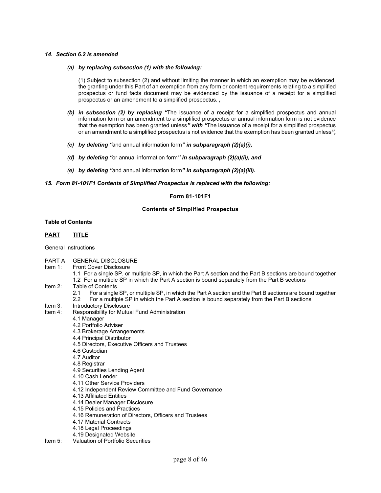# *14. Section 6.2 is amended*

#### *(a) by replacing subsection (1) with the following:*

(1) Subject to subsection (2) and without limiting the manner in which an exemption may be evidenced, the granting under this Part of an exemption from any form or content requirements relating to a simplified prospectus or fund facts document may be evidenced by the issuance of a receipt for a simplified prospectus or an amendment to a simplified prospectus. *,* 

- *(b) in subsection (2) by replacing "*The issuance of a receipt for a simplified prospectus and annual information form or an amendment to a simplified prospectus or annual information form is not evidence that the exemption has been granted unless*" with "*The issuance of a receipt for a simplified prospectus or an amendment to a simplified prospectus is not evidence that the exemption has been granted unless*",*
- *(c) by deleting "*and annual information form*" in subparagraph (2)(a)(i),*
- *(d) by deleting "*or annual information form*" in subparagraph (2)(a)(ii), and*
- *(e) by deleting "*and annual information form*" in subparagraph (2)(a)(iii).*

#### *15. Form 81-101F1 Contents of Simplified Prospectus is replaced with the following:*

# **Form 81-101F1**

# **Contents of Simplified Prospectus**

# **Table of Contents**

# **PART TITLE**

General Instructions

- PART A GENERAL DISCLOSURE<br>Item 1: Front Cover Disclosure
- Front Cover Disclosure
	- 1.1 For a single SP, or multiple SP, in which the Part A section and the Part B sections are bound together 1.2 For a multiple SP in which the Part A section is bound separately from the Part B sections
- Item 2: Table of Contents
	- 2.1 For a single SP, or multiple SP, in which the Part A section and the Part B sections are bound together 2.2 For a multiple SP in which the Part A section is bound separately from the Part B sections
- Item 3: Introductory Disclosure
- Item 4: Responsibility for Mutual Fund Administration
	- 4.1 Manager
	- 4.2 Portfolio Adviser
	- 4.3 Brokerage Arrangements
	- 4.4 Principal Distributor
	- 4.5 Directors, Executive Officers and Trustees
	- 4.6 Custodian
	- 4.7 Auditor
	- 4.8 Registrar
	- 4.9 Securities Lending Agent
	- 4.10 Cash Lender
	- 4.11 Other Service Providers
	- 4.12 Independent Review Committee and Fund Governance
	- 4.13 Affiliated Entities
	- 4.14 Dealer Manager Disclosure
	- 4.15 Policies and Practices
	- 4.16 Remuneration of Directors, Officers and Trustees
	- 4.17 Material Contracts
	- 4.18 Legal Proceedings
- 4.19 Designated Website<br>Item 5: Valuation of Portfolio Sec
- Valuation of Portfolio Securities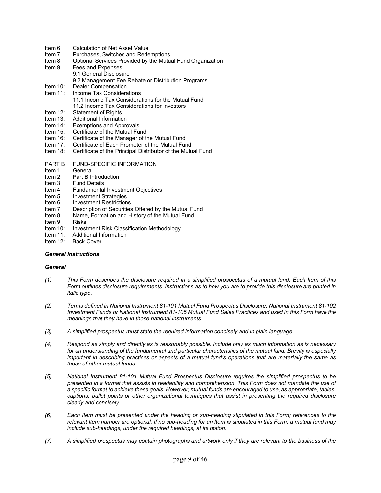- Item 6: Calculation of Net Asset Value<br>Item 7: Purchases. Switches and Rede
- Item 7: Purchases, Switches and Redemptions<br>Item 8: Optional Services Provided by the Mutu
- Optional Services Provided by the Mutual Fund Organization
- Item 9: Fees and Expenses
	- 9.1 General Disclosure
		- 9.2 Management Fee Rebate or Distribution Programs
- Item 10: Dealer Compensation
- Item 11: Income Tax Considerations 11.1 Income Tax Considerations for the Mutual Fund 11.2 Income Tax Considerations for Investors<br>Item 12: Statement of Rights
- Item 12: Statement of Rights<br>Item 13: Additional Information
- Additional Information
- Item 14: Exemptions and Approvals
- Item 15: Certificate of the Mutual Fund
- Item 16: Certificate of the Manager of the Mutual Fund
- Item 17: Certificate of Each Promoter of the Mutual Fund
- Item 18: Certificate of the Principal Distributor of the Mutual Fund
- PART B FUND-SPECIFIC INFORMATION
- Item 1: General
- Item 2: Part B Introduction<br>Item 3: Fund Details
- Item 3: Fund Details<br>Item 4: Fundamental
- Item 4: Fundamental Investment Objectives<br>Item 5: Investment Strategies
- Investment Strategies
- Item 6: Investment Restrictions
- Item 7: Description of Securities Offered by the Mutual Fund<br>Item 8: Name. Formation and History of the Mutual Fund
- Name, Formation and History of the Mutual Fund
- Item 9: Risks
- Item 10: Investment Risk Classification Methodology
- Item 11: Additional Information
- Item 12: Back Cover

#### *General Instructions*

# *General*

- *(1) This Form describes the disclosure required in a simplified prospectus of a mutual fund. Each Item of this Form outlines disclosure requirements. Instructions as to how you are to provide this disclosure are printed in italic type*.
- *(2) Terms defined in National Instrument 81-101 Mutual Fund Prospectus Disclosure, National Instrument 81-102 Investment Funds or National Instrument 81-105 Mutual Fund Sales Practices and used in this Form have the meanings that they have in those national instruments*.
- *(3) A simplified prospectus must state the required information concisely and in plain language.*
- *(4) Respond as simply and directly as is reasonably possible. Include only as much information as is necessary*  for an understanding of the fundamental and particular characteristics of the mutual fund. Brevity is especially *important in describing practices or aspects of a mutual fund's operations that are materially the same as those of other mutual funds*.
- *(5) National Instrument 81-101 Mutual Fund Prospectus Disclosure requires the simplified prospectus to be presented in a format that assists in readability and comprehension. This Form does not mandate the use of a specific format to achieve these goals. However, mutual funds are encouraged to use, as appropriate, tables, captions, bullet points or other organizational techniques that assist in presenting the required disclosure clearly and concisely*.
- *(6) Each Item must be presented under the heading or sub-heading stipulated in this Form; references to the relevant Item number are optional. If no sub-heading for an Item is stipulated in this Form, a mutual fund may include sub-headings, under the required headings, at its option*.
- *(7) A simplified prospectus may contain photographs and artwork only if they are relevant to the business of the*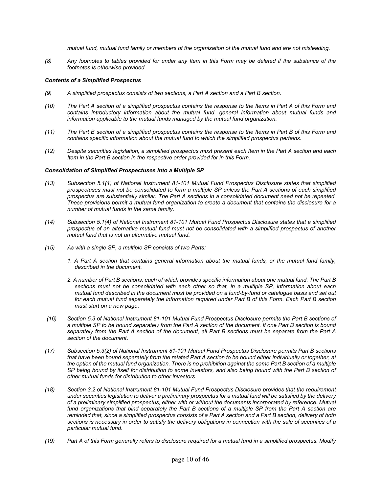*mutual fund, mutual fund family or members of the organization of the mutual fund and are not misleading*.

*(8) Any footnotes to tables provided for under any Item in this Form may be deleted if the substance of the footnotes is otherwise provided*.

# *Contents of a Simplified Prospectus*

- *(9) A simplified prospectus consists of two sections, a Part A section and a Part B section*.
- *(10) The Part A section of a simplified prospectus contains the response to the Items in Part A of this Form and contains introductory information about the mutual fund, general information about mutual funds and information applicable to the mutual funds managed by the mutual fund organization*.
- *(11) The Part B section of a simplified prospectus contains the response to the Items in Part B of this Form and contains specific information about the mutual fund to which the simplified prospectus pertains*.
- *(12) Despite securities legislation, a simplified prospectus must present each Item in the Part A section and each Item in the Part B section in the respective order provided for in this Form.*

#### *Consolidation of Simplified Prospectuses into a Multiple SP*

- *(13) Subsection 5.1(1) of National Instrument 81-101 Mutual Fund Prospectus Disclosure states that simplified prospectuses must not be consolidated to form a multiple SP unless the Part A sections of each simplified prospectus are substantially similar. The Part A sections in a consolidated document need not be repeated. These provisions permit a mutual fund organization to create a document that contains the disclosure for a number of mutual funds in the same family*.
- *(14) Subsection 5.1(4) of National Instrument 81-101 Mutual Fund Prospectus Disclosure states that a simplified prospectus of an alternative mutual fund must not be consolidated with a simplified prospectus of another mutual fund that is not an alternative mutual fund***.**
- *(15) As with a single SP, a multiple SP consists of two Parts:* 
	- *1. A Part A section that contains general information about the mutual funds, or the mutual fund family, described in the document*.
	- *2. A number of Part B sections, each of which provides specific information about one mutual fund. The Part B sections must not be consolidated with each other so that, in a multiple SP, information about each mutual fund described in the document must be provided on a fund-by-fund or catalogue basis and set out for each mutual fund separately the information required under Part B of this Form. Each Part B section must start on a new page*.
- *(16) Section 5.3 of National Instrument 81-101 Mutual Fund Prospectus Disclosure permits the Part B sections of a multiple SP to be bound separately from the Part A section of the document. If one Part B section is bound separately from the Part A section of the document, all Part B sections must be separate from the Part A section of the document*.
- *(17) Subsection 5.3(2) of National Instrument 81-101 Mutual Fund Prospectus Disclosure permits Part B sections*  that have been bound separately from the related Part A section to be bound either individually or together, at *the option of the mutual fund organization. There is no prohibition against the same Part B section of a multiple SP being bound by itself for distribution to some investors, and also being bound with the Part B section of other mutual funds for distribution to other investors*.
- *(18) Section 3.2 of National Instrument 81-101 Mutual Fund Prospectus Disclosure provides that the requirement under securities legislation to deliver a preliminary prospectus for a mutual fund will be satisfied by the delivery of a preliminary simplified prospectus, either with or without the documents incorporated by reference. Mutual fund organizations that bind separately the Part B sections of a multiple SP from the Part A section are reminded that, since a simplified prospectus consists of a Part A section and a Part B section, delivery of both sections is necessary in order to satisfy the delivery obligations in connection with the sale of securities of a particular mutual fund*.
- *(19) Part A of this Form generally refers to disclosure required for a mutual fund in a simplified prospectus. Modify*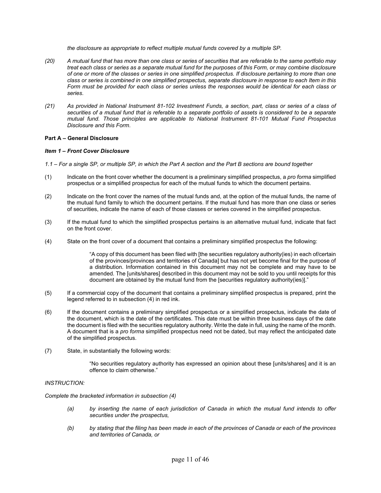*the disclosure as appropriate to reflect multiple mutual funds covered by a multiple SP*.

- *(20) A mutual fund that has more than one class or series of securities that are referable to the same portfolio may treat each class or series as a separate mutual fund for the purposes of this Form, or may combine disclosure of one or more of the classes or series in one simplified prospectus. If disclosure pertaining to more than one class or series is combined in one simplified prospectus, separate disclosure in response to each Item in this Form must be provided for each class or series unless the responses would be identical for each class or series*.
- *(21) As provided in National Instrument 81-102 Investment Funds, a section, part, class or series of a class of securities of a mutual fund that is referable to a separate portfolio of assets is considered to be a separate mutual fund. Those principles are applicable to National Instrument 81-101 Mutual Fund Prospectus Disclosure and this Form*.

# **Part A – General Disclosure**

# *Item 1 – Front Cover Disclosure*

*1.1 – For a single SP, or multiple SP, in which the Part A section and the Part B sections are bound together*

- (1) Indicate on the front cover whether the document is a preliminary simplified prospectus, a *pro forma* simplified prospectus or a simplified prospectus for each of the mutual funds to which the document pertains.
- (2) Indicate on the front cover the names of the mutual funds and, at the option of the mutual funds, the name of the mutual fund family to which the document pertains. If the mutual fund has more than one class or series of securities, indicate the name of each of those classes or series covered in the simplified prospectus.
- (3) If the mutual fund to which the simplified prospectus pertains is an alternative mutual fund, indicate that fact on the front cover.
- (4) State on the front cover of a document that contains a preliminary simplified prospectus the following:

"A copy of this document has been filed with [the securities regulatory authority(ies) in each of/certain of the provinces/provinces and territories of Canada] but has not yet become final for the purpose of a distribution. Information contained in this document may not be complete and may have to be amended. The [units/shares] described in this document may not be sold to you until receipts for this document are obtained by the mutual fund from the [securities regulatory authority(ies)]."

- (5) If a commercial copy of the document that contains a preliminary simplified prospectus is prepared, print the legend referred to in subsection (4) in red ink.
- (6) If the document contains a preliminary simplified prospectus or a simplified prospectus, indicate the date of the document, which is the date of the certificates. This date must be within three business days of the date the document is filed with the securities regulatory authority. Write the date in full, using the name of the month. A document that is a *pro forma* simplified prospectus need not be dated, but may reflect the anticipated date of the simplified prospectus.
- (7) State, in substantially the following words:

"No securities regulatory authority has expressed an opinion about these [units/shares] and it is an offence to claim otherwise."

# *INSTRUCTION:*

*Complete the bracketed information in subsection (4)* 

- *(a) by inserting the name of each jurisdiction of Canada in which the mutual fund intends to offer securities under the prospectus,*
- *(b) by stating that the filing has been made in each of the provinces of Canada or each of the provinces and territories of Canada, or*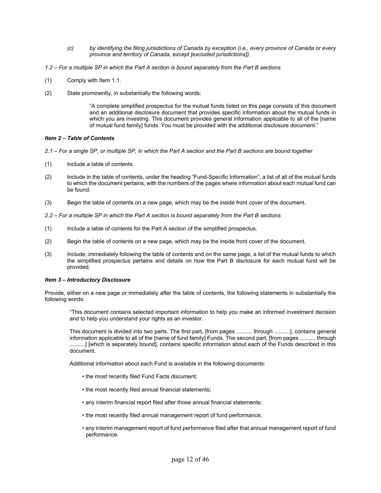- *(c) by identifying the filing jurisdictions of Canada by exception (i.e., every province of Canada or every province and territory of Canada, except [excluded jurisdictions])*.
- *1.2 For a multiple SP in which the Part A section is bound separately from the Part B sections*
- (1) Comply with Item 1.1.
- (2) State prominently, in substantially the following words:

"A complete simplified prospectus for the mutual funds listed on this page consists of this document and an additional disclosure document that provides specific information about the mutual funds in which you are investing. This document provides general information applicable to all of the [name of mutual fund family] funds. You must be provided with the additional disclosure document."

# *Item 2 – Table of Contents*

- *2.1 For a single SP, or multiple SP, in which the Part A section and the Part B sections are bound together*
- (1) Include a table of contents.
- (2) Include in the table of contents, under the heading "Fund-Specific Information", a list of all of the mutual funds to which the document pertains, with the numbers of the pages where information about each mutual fund can be found.
- (3) Begin the table of contents on a new page, which may be the inside front cover of the document.
- *2.2 For a multiple SP in which the Part A section is bound separately from the Part B sections*
- (1) Include a table of contents for the Part A section of the simplified prospectus.
- (2) Begin the table of contents on a new page, which may be the inside front cover of the document.
- (3) Include, immediately following the table of contents and on the same page, a list of the mutual funds to which the simplified prospectus pertains and details on how the Part B disclosure for each mutual fund will be provided.

# *Item 3 – Introductory Disclosure*

Provide, either on a new page or immediately after the table of contents, the following statements in substantially the following words:

"This document contains selected important information to help you make an informed investment decision and to help you understand your rights as an investor.

This document is divided into two parts. The first part, [from pages .......... through ..........], contains general information applicable to all of the [name of fund family] Funds. The second part, [from pages .......... through ..........] [which is separately bound], contains specific information about each of the Funds described in this document.

Additional information about each Fund is available in the following documents:

- the most recently filed Fund Facts document;
- the most recently filed annual financial statements;
- any interim financial report filed after those annual financial statements;
- the most recently filed annual management report of fund performance;
- any interim management report of fund performance filed after that annual management report of fund performance.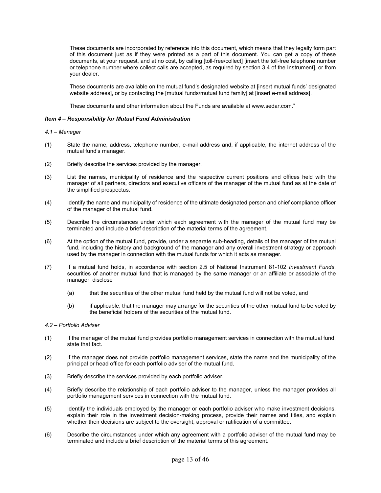These documents are incorporated by reference into this document, which means that they legally form part of this document just as if they were printed as a part of this document. You can get a copy of these documents, at your request, and at no cost, by calling [toll-free/collect] [insert the toll-free telephone number or telephone number where collect calls are accepted, as required by section 3.4 of the Instrument], or from your dealer.

These documents are available on the mutual fund's designated website at [insert mutual funds' designated website address], or by contacting the [mutual funds/mutual fund family] at [insert e-mail address].

These documents and other information about the Funds are available at www.sedar.com."

# *Item 4 – Responsibility for Mutual Fund Administration*

#### *4.1 – Manager*

- (1) State the name, address, telephone number, e-mail address and, if applicable, the internet address of the mutual fund's manager.
- (2) Briefly describe the services provided by the manager.
- (3) List the names, municipality of residence and the respective current positions and offices held with the manager of all partners, directors and executive officers of the manager of the mutual fund as at the date of the simplified prospectus.
- (4) Identify the name and municipality of residence of the ultimate designated person and chief compliance officer of the manager of the mutual fund.
- (5) Describe the circumstances under which each agreement with the manager of the mutual fund may be terminated and include a brief description of the material terms of the agreement.
- (6) At the option of the mutual fund, provide, under a separate sub-heading, details of the manager of the mutual fund, including the history and background of the manager and any overall investment strategy or approach used by the manager in connection with the mutual funds for which it acts as manager.
- (7) If a mutual fund holds, in accordance with section 2.5 of National Instrument 81-102 *Investment Funds*, securities of another mutual fund that is managed by the same manager or an affiliate or associate of the manager, disclose
	- (a) that the securities of the other mutual fund held by the mutual fund will not be voted, and
	- (b) if applicable, that the manager may arrange for the securities of the other mutual fund to be voted by the beneficial holders of the securities of the mutual fund.

# *4.2 – Portfolio Adviser*

- (1) If the manager of the mutual fund provides portfolio management services in connection with the mutual fund, state that fact.
- (2) If the manager does not provide portfolio management services, state the name and the municipality of the principal or head office for each portfolio adviser of the mutual fund.
- (3) Briefly describe the services provided by each portfolio adviser.
- (4) Briefly describe the relationship of each portfolio adviser to the manager, unless the manager provides all portfolio management services in connection with the mutual fund.
- (5) Identify the individuals employed by the manager or each portfolio adviser who make investment decisions, explain their role in the investment decision-making process, provide their names and titles, and explain whether their decisions are subject to the oversight, approval or ratification of a committee.
- (6) Describe the circumstances under which any agreement with a portfolio adviser of the mutual fund may be terminated and include a brief description of the material terms of this agreement.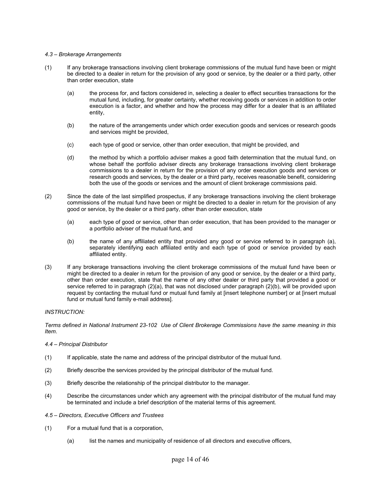### *4.3 – Brokerage Arrangements*

- (1) If any brokerage transactions involving client brokerage commissions of the mutual fund have been or might be directed to a dealer in return for the provision of any good or service, by the dealer or a third party, other than order execution, state
	- (a) the process for, and factors considered in, selecting a dealer to effect securities transactions for the mutual fund, including, for greater certainty, whether receiving goods or services in addition to order execution is a factor, and whether and how the process may differ for a dealer that is an affiliated entity,
	- (b) the nature of the arrangements under which order execution goods and services or research goods and services might be provided,
	- (c) each type of good or service, other than order execution, that might be provided, and
	- (d) the method by which a portfolio adviser makes a good faith determination that the mutual fund, on whose behalf the portfolio adviser directs any brokerage transactions involving client brokerage commissions to a dealer in return for the provision of any order execution goods and services or research goods and services, by the dealer or a third party, receives reasonable benefit, considering both the use of the goods or services and the amount of client brokerage commissions paid.
- (2) Since the date of the last simplified prospectus, if any brokerage transactions involving the client brokerage commissions of the mutual fund have been or might be directed to a dealer in return for the provision of any good or service, by the dealer or a third party, other than order execution, state
	- (a) each type of good or service, other than order execution, that has been provided to the manager or a portfolio adviser of the mutual fund, and
	- (b) the name of any affiliated entity that provided any good or service referred to in paragraph (a), separately identifying each affiliated entity and each type of good or service provided by each affiliated entity.
- (3) If any brokerage transactions involving the client brokerage commissions of the mutual fund have been or might be directed to a dealer in return for the provision of any good or service, by the dealer or a third party, other than order execution, state that the name of any other dealer or third party that provided a good or service referred to in paragraph (2)(a), that was not disclosed under paragraph (2)(b), will be provided upon request by contacting the mutual fund or mutual fund family at [insert telephone number] or at [insert mutual fund or mutual fund family e-mail address].

# *INSTRUCTION:*

*Terms defined in National Instrument 23-102 Use of Client Brokerage Commissions have the same meaning in this Item*.

#### *4.4 – Principal Distributor*

- (1) If applicable, state the name and address of the principal distributor of the mutual fund.
- (2) Briefly describe the services provided by the principal distributor of the mutual fund.
- (3) Briefly describe the relationship of the principal distributor to the manager.
- (4) Describe the circumstances under which any agreement with the principal distributor of the mutual fund may be terminated and include a brief description of the material terms of this agreement.
- *4.5 Directors, Executive Officers and Trustees*
- (1) For a mutual fund that is a corporation,
	- (a) list the names and municipality of residence of all directors and executive officers,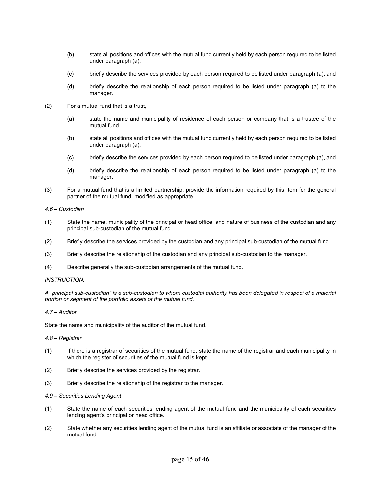- (b) state all positions and offices with the mutual fund currently held by each person required to be listed under paragraph (a),
- (c) briefly describe the services provided by each person required to be listed under paragraph (a), and
- (d) briefly describe the relationship of each person required to be listed under paragraph (a) to the manager.
- (2) For a mutual fund that is a trust,
	- (a) state the name and municipality of residence of each person or company that is a trustee of the mutual fund,
	- (b) state all positions and offices with the mutual fund currently held by each person required to be listed under paragraph (a),
	- (c) briefly describe the services provided by each person required to be listed under paragraph (a), and
	- (d) briefly describe the relationship of each person required to be listed under paragraph (a) to the manager.
- (3) For a mutual fund that is a limited partnership, provide the information required by this Item for the general partner of the mutual fund, modified as appropriate.

# *4.6 – Custodian*

- (1) State the name, municipality of the principal or head office, and nature of business of the custodian and any principal sub-custodian of the mutual fund.
- (2) Briefly describe the services provided by the custodian and any principal sub-custodian of the mutual fund.
- (3) Briefly describe the relationship of the custodian and any principal sub-custodian to the manager.
- (4) Describe generally the sub-custodian arrangements of the mutual fund.

# *INSTRUCTION:*

*A "principal sub-custodian" is a sub-custodian to whom custodial authority has been delegated in respect of a material portion or segment of the portfolio assets of the mutual fund*.

# *4.7 – Auditor*

State the name and municipality of the auditor of the mutual fund.

# *4.8 – Registrar*

- (1) If there is a registrar of securities of the mutual fund, state the name of the registrar and each municipality in which the register of securities of the mutual fund is kept.
- (2) Briefly describe the services provided by the registrar.
- (3) Briefly describe the relationship of the registrar to the manager.

# *4.9 – Securities Lending Agent*

- (1) State the name of each securities lending agent of the mutual fund and the municipality of each securities lending agent's principal or head office.
- (2) State whether any securities lending agent of the mutual fund is an affiliate or associate of the manager of the mutual fund.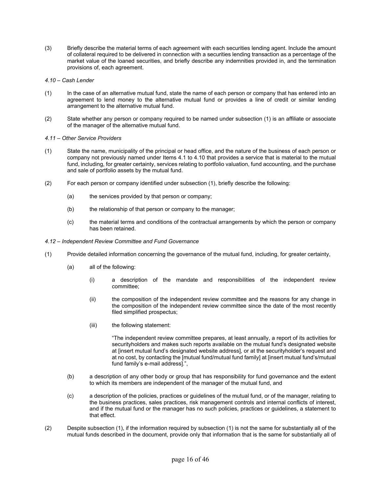(3) Briefly describe the material terms of each agreement with each securities lending agent. Include the amount of collateral required to be delivered in connection with a securities lending transaction as a percentage of the market value of the loaned securities, and briefly describe any indemnities provided in, and the termination provisions of, each agreement.

# *4.10 – Cash Lender*

- (1) In the case of an alternative mutual fund, state the name of each person or company that has entered into an agreement to lend money to the alternative mutual fund or provides a line of credit or similar lending arrangement to the alternative mutual fund.
- (2) State whether any person or company required to be named under subsection (1) is an affiliate or associate of the manager of the alternative mutual fund.

# *4.11 – Other Service Providers*

- (1) State the name, municipality of the principal or head office, and the nature of the business of each person or company not previously named under Items 4.1 to 4.10 that provides a service that is material to the mutual fund, including, for greater certainty, services relating to portfolio valuation, fund accounting, and the purchase and sale of portfolio assets by the mutual fund.
- (2) For each person or company identified under subsection (1), briefly describe the following:
	- (a) the services provided by that person or company;
	- (b) the relationship of that person or company to the manager;
	- (c) the material terms and conditions of the contractual arrangements by which the person or company has been retained.
- *4.12 Independent Review Committee and Fund Governance*
- (1) Provide detailed information concerning the governance of the mutual fund, including, for greater certainty,
	- (a) all of the following:
		- (i) a description of the mandate and responsibilities of the independent review committee;
		- (ii) the composition of the independent review committee and the reasons for any change in the composition of the independent review committee since the date of the most recently filed simplified prospectus;
		- (iii) the following statement:

"The independent review committee prepares, at least annually, a report of its activities for securityholders and makes such reports available on the mutual fund's designated website at [insert mutual fund's designated website address], or at the securityholder's request and at no cost, by contacting the [mutual fund/mutual fund family] at [insert mutual fund's/mutual fund family's e-mail address].",

- (b) a description of any other body or group that has responsibility for fund governance and the extent to which its members are independent of the manager of the mutual fund, and
- (c) a description of the policies, practices or guidelines of the mutual fund, or of the manager, relating to the business practices, sales practices, risk management controls and internal conflicts of interest, and if the mutual fund or the manager has no such policies, practices or guidelines, a statement to that effect.
- (2) Despite subsection (1), if the information required by subsection (1) is not the same for substantially all of the mutual funds described in the document, provide only that information that is the same for substantially all of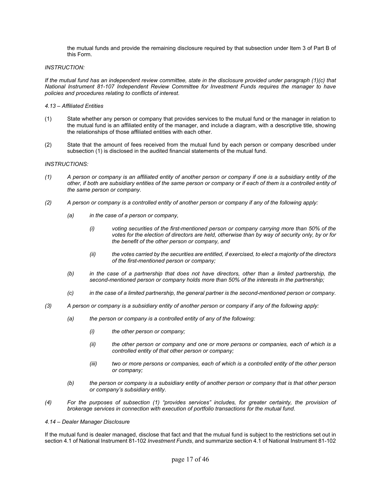the mutual funds and provide the remaining disclosure required by that subsection under Item 3 of Part B of this Form.

### *INSTRUCTION:*

*If the mutual fund has an independent review committee, state in the disclosure provided under paragraph (1)(c) that National Instrument 81-107 Independent Review Committee for Investment Funds requires the manager to have policies and procedures relating to conflicts of interest*.

### *4.13 – Affiliated Entities*

- (1) State whether any person or company that provides services to the mutual fund or the manager in relation to the mutual fund is an affiliated entity of the manager, and include a diagram, with a descriptive title, showing the relationships of those affiliated entities with each other.
- (2) State that the amount of fees received from the mutual fund by each person or company described under subsection (1) is disclosed in the audited financial statements of the mutual fund.

# *INSTRUCTIONS:*

- *(1) A person or company is an affiliated entity of another person or company if one is a subsidiary entity of the*  other, if both are subsidiary entities of the same person or company or if each of them is a controlled entity of *the same person or company*.
- *(2) A person or company is a controlled entity of another person or company if any of the following apply:* 
	- *(a) in the case of a person or company,* 
		- *(i) voting securities of the first-mentioned person or company carrying more than 50% of the votes for the election of directors are held, otherwise than by way of security only, by or for the benefit of the other person or company, and*
		- *(ii) the votes carried by the securities are entitled, if exercised, to elect a majority of the directors of the first-mentioned person or company;*
	- *(b) in the case of a partnership that does not have directors, other than a limited partnership, the second-mentioned person or company holds more than 50% of the interests in the partnership;*
	- *(c) in the case of a limited partnership, the general partner is the second-mentioned person or company*.
- *(3) A person or company is a subsidiary entity of another person or company if any of the following apply:* 
	- *(a) the person or company is a controlled entity of any of the following:* 
		- *(i) the other person or company;*
		- *(ii) the other person or company and one or more persons or companies, each of which is a controlled entity of that other person or company;*
		- *(iii) two or more persons or companies, each of which is a controlled entity of the other person or company;*
	- *(b) the person or company is a subsidiary entity of another person or company that is that other person or company's subsidiary entity*.
- *(4) For the purposes of subsection (1) "provides services" includes, for greater certainty, the provision of brokerage services in connection with execution of portfolio transactions for the mutual fund*.

#### *4.14 – Dealer Manager Disclosure*

If the mutual fund is dealer managed, disclose that fact and that the mutual fund is subject to the restrictions set out in section 4.1 of National Instrument 81-102 *Investment Funds*, and summarize section 4.1 of National Instrument 81-102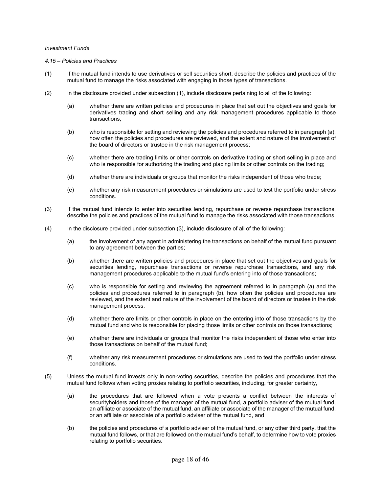# *Investment Funds*.

# *4.15 – Policies and Practices*

- (1) If the mutual fund intends to use derivatives or sell securities short, describe the policies and practices of the mutual fund to manage the risks associated with engaging in those types of transactions.
- (2) In the disclosure provided under subsection (1), include disclosure pertaining to all of the following:
	- (a) whether there are written policies and procedures in place that set out the objectives and goals for derivatives trading and short selling and any risk management procedures applicable to those transactions;
	- (b) who is responsible for setting and reviewing the policies and procedures referred to in paragraph (a), how often the policies and procedures are reviewed, and the extent and nature of the involvement of the board of directors or trustee in the risk management process;
	- (c) whether there are trading limits or other controls on derivative trading or short selling in place and who is responsible for authorizing the trading and placing limits or other controls on the trading;
	- (d) whether there are individuals or groups that monitor the risks independent of those who trade;
	- (e) whether any risk measurement procedures or simulations are used to test the portfolio under stress conditions.
- (3) If the mutual fund intends to enter into securities lending, repurchase or reverse repurchase transactions, describe the policies and practices of the mutual fund to manage the risks associated with those transactions.
- (4) In the disclosure provided under subsection (3), include disclosure of all of the following:
	- (a) the involvement of any agent in administering the transactions on behalf of the mutual fund pursuant to any agreement between the parties;
	- (b) whether there are written policies and procedures in place that set out the objectives and goals for securities lending, repurchase transactions or reverse repurchase transactions, and any risk management procedures applicable to the mutual fund's entering into of those transactions;
	- (c) who is responsible for setting and reviewing the agreement referred to in paragraph (a) and the policies and procedures referred to in paragraph (b), how often the policies and procedures are reviewed, and the extent and nature of the involvement of the board of directors or trustee in the risk management process;
	- (d) whether there are limits or other controls in place on the entering into of those transactions by the mutual fund and who is responsible for placing those limits or other controls on those transactions;
	- (e) whether there are individuals or groups that monitor the risks independent of those who enter into those transactions on behalf of the mutual fund;
	- (f) whether any risk measurement procedures or simulations are used to test the portfolio under stress conditions.
- (5) Unless the mutual fund invests only in non-voting securities, describe the policies and procedures that the mutual fund follows when voting proxies relating to portfolio securities, including, for greater certainty,
	- (a) the procedures that are followed when a vote presents a conflict between the interests of securityholders and those of the manager of the mutual fund, a portfolio adviser of the mutual fund, an affiliate or associate of the mutual fund, an affiliate or associate of the manager of the mutual fund, or an affiliate or associate of a portfolio adviser of the mutual fund, and
	- (b) the policies and procedures of a portfolio adviser of the mutual fund, or any other third party, that the mutual fund follows, or that are followed on the mutual fund's behalf, to determine how to vote proxies relating to portfolio securities.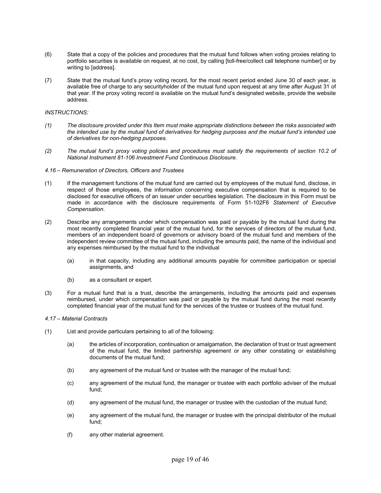- (6) State that a copy of the policies and procedures that the mutual fund follows when voting proxies relating to portfolio securities is available on request, at no cost, by calling [toll-free/collect call telephone number] or by writing to [address].
- (7) State that the mutual fund's proxy voting record, for the most recent period ended June 30 of each year, is available free of charge to any securityholder of the mutual fund upon request at any time after August 31 of that year. If the proxy voting record is available on the mutual fund's designated website, provide the website address.

# *INSTRUCTIONS:*

- *(1) The disclosure provided under this Item must make appropriate distinctions between the risks associated with the intended use by the mutual fund of derivatives for hedging purposes and the mutual fund's intended use of derivatives for non-hedging purposes*.
- *(2) The mutual fund's proxy voting policies and procedures must satisfy the requirements of section 10.2 of National Instrument 81-106 Investment Fund Continuous Disclosure.*
- *4.16 Remuneration of Directors, Officers and Trustees*
- (1) If the management functions of the mutual fund are carried out by employees of the mutual fund, disclose, in respect of those employees, the information concerning executive compensation that is required to be disclosed for executive officers of an issuer under securities legislation. The disclosure in this Form must be made in accordance with the disclosure requirements of Form 51-102F6 *Statement of Executive Compensation*.
- (2) Describe any arrangements under which compensation was paid or payable by the mutual fund during the most recently completed financial year of the mutual fund, for the services of directors of the mutual fund, members of an independent board of governors or advisory board of the mutual fund and members of the independent review committee of the mutual fund, including the amounts paid, the name of the individual and any expenses reimbursed by the mutual fund to the individual
	- (a) in that capacity, including any additional amounts payable for committee participation or special assignments, and
	- (b) as a consultant or expert.
- (3) For a mutual fund that is a trust, describe the arrangements, including the amounts paid and expenses reimbursed, under which compensation was paid or payable by the mutual fund during the most recently completed financial year of the mutual fund for the services of the trustee or trustees of the mutual fund.

# *4.17 – Material Contracts*

- (1) List and provide particulars pertaining to all of the following:
	- (a) the articles of incorporation, continuation or amalgamation, the declaration of trust or trust agreement of the mutual fund, the limited partnership agreement or any other constating or establishing documents of the mutual fund;
	- (b) any agreement of the mutual fund or trustee with the manager of the mutual fund;
	- (c) any agreement of the mutual fund, the manager or trustee with each portfolio adviser of the mutual fund;
	- (d) any agreement of the mutual fund, the manager or trustee with the custodian of the mutual fund;
	- (e) any agreement of the mutual fund, the manager or trustee with the principal distributor of the mutual fund;
	- (f) any other material agreement.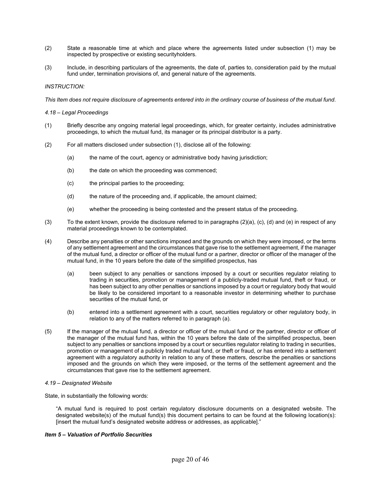- (2) State a reasonable time at which and place where the agreements listed under subsection (1) may be inspected by prospective or existing securityholders.
- (3) Include, in describing particulars of the agreements, the date of, parties to, consideration paid by the mutual fund under, termination provisions of, and general nature of the agreements.

# *INSTRUCTION:*

*This Item does not require disclosure of agreements entered into in the ordinary course of business of the mutual fund*.

#### *4.18 – Legal Proceedings*

- (1) Briefly describe any ongoing material legal proceedings, which, for greater certainty, includes administrative proceedings, to which the mutual fund, its manager or its principal distributor is a party.
- (2) For all matters disclosed under subsection (1), disclose all of the following:
	- (a) the name of the court, agency or administrative body having jurisdiction;
	- (b) the date on which the proceeding was commenced;
	- (c) the principal parties to the proceeding;
	- (d) the nature of the proceeding and, if applicable, the amount claimed;
	- (e) whether the proceeding is being contested and the present status of the proceeding.
- (3) To the extent known, provide the disclosure referred to in paragraphs (2)(a), (c), (d) and (e) in respect of any material proceedings known to be contemplated.
- (4) Describe any penalties or other sanctions imposed and the grounds on which they were imposed, or the terms of any settlement agreement and the circumstances that gave rise to the settlement agreement, if the manager of the mutual fund, a director or officer of the mutual fund or a partner, director or officer of the manager of the mutual fund, in the 10 years before the date of the simplified prospectus, has
	- (a) been subject to any penalties or sanctions imposed by a court or securities regulator relating to trading in securities, promotion or management of a publicly-traded mutual fund, theft or fraud, or has been subject to any other penalties or sanctions imposed by a court or regulatory body that would be likely to be considered important to a reasonable investor in determining whether to purchase securities of the mutual fund, or
	- (b) entered into a settlement agreement with a court, securities regulatory or other regulatory body, in relation to any of the matters referred to in paragraph (a).
- (5) If the manager of the mutual fund, a director or officer of the mutual fund or the partner, director or officer of the manager of the mutual fund has, within the 10 years before the date of the simplified prospectus, been subject to any penalties or sanctions imposed by a court or securities regulator relating to trading in securities, promotion or management of a publicly traded mutual fund, or theft or fraud, or has entered into a settlement agreement with a regulatory authority in relation to any of these matters, describe the penalties or sanctions imposed and the grounds on which they were imposed, or the terms of the settlement agreement and the circumstances that gave rise to the settlement agreement.

#### *4.19 – Designated Website*

State, in substantially the following words:

"A mutual fund is required to post certain regulatory disclosure documents on a designated website. The designated website(s) of the mutual fund(s) this document pertains to can be found at the following location(s): [insert the mutual fund's designated website address or addresses, as applicable]."

# *Item 5 – Valuation of Portfolio Securities*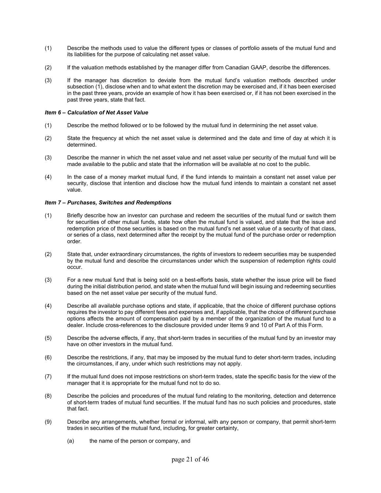- (1) Describe the methods used to value the different types or classes of portfolio assets of the mutual fund and its liabilities for the purpose of calculating net asset value.
- (2) If the valuation methods established by the manager differ from Canadian GAAP, describe the differences.
- (3) If the manager has discretion to deviate from the mutual fund's valuation methods described under subsection (1), disclose when and to what extent the discretion may be exercised and, if it has been exercised in the past three years, provide an example of how it has been exercised or, if it has not been exercised in the past three years, state that fact.

# *Item 6 – Calculation of Net Asset Value*

- (1) Describe the method followed or to be followed by the mutual fund in determining the net asset value.
- (2) State the frequency at which the net asset value is determined and the date and time of day at which it is determined.
- (3) Describe the manner in which the net asset value and net asset value per security of the mutual fund will be made available to the public and state that the information will be available at no cost to the public.
- (4) In the case of a money market mutual fund, if the fund intends to maintain a constant net asset value per security, disclose that intention and disclose how the mutual fund intends to maintain a constant net asset value.

# *Item 7 – Purchases, Switches and Redemptions*

- (1) Briefly describe how an investor can purchase and redeem the securities of the mutual fund or switch them for securities of other mutual funds, state how often the mutual fund is valued, and state that the issue and redemption price of those securities is based on the mutual fund's net asset value of a security of that class, or series of a class, next determined after the receipt by the mutual fund of the purchase order or redemption order.
- (2) State that, under extraordinary circumstances, the rights of investors to redeem securities may be suspended by the mutual fund and describe the circumstances under which the suspension of redemption rights could occur.
- (3) For a new mutual fund that is being sold on a best-efforts basis, state whether the issue price will be fixed during the initial distribution period, and state when the mutual fund will begin issuing and redeeming securities based on the net asset value per security of the mutual fund.
- (4) Describe all available purchase options and state, if applicable, that the choice of different purchase options requires the investor to pay different fees and expenses and, if applicable, that the choice of different purchase options affects the amount of compensation paid by a member of the organization of the mutual fund to a dealer. Include cross-references to the disclosure provided under Items 9 and 10 of Part A of this Form.
- (5) Describe the adverse effects, if any, that short-term trades in securities of the mutual fund by an investor may have on other investors in the mutual fund.
- (6) Describe the restrictions, if any, that may be imposed by the mutual fund to deter short-term trades, including the circumstances, if any, under which such restrictions may not apply.
- (7) If the mutual fund does not impose restrictions on short-term trades, state the specific basis for the view of the manager that it is appropriate for the mutual fund not to do so.
- (8) Describe the policies and procedures of the mutual fund relating to the monitoring, detection and deterrence of short-term trades of mutual fund securities. If the mutual fund has no such policies and procedures, state that fact.
- (9) Describe any arrangements, whether formal or informal, with any person or company, that permit short-term trades in securities of the mutual fund, including, for greater certainty,
	- (a) the name of the person or company, and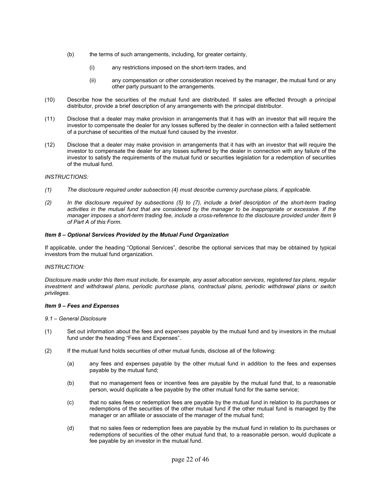- (b) the terms of such arrangements, including, for greater certainty,
	- (i) any restrictions imposed on the short-term trades, and
	- (ii) any compensation or other consideration received by the manager, the mutual fund or any other party pursuant to the arrangements.
- (10) Describe how the securities of the mutual fund are distributed. If sales are effected through a principal distributor, provide a brief description of any arrangements with the principal distributor.
- (11) Disclose that a dealer may make provision in arrangements that it has with an investor that will require the investor to compensate the dealer for any losses suffered by the dealer in connection with a failed settlement of a purchase of securities of the mutual fund caused by the investor.
- (12) Disclose that a dealer may make provision in arrangements that it has with an investor that will require the investor to compensate the dealer for any losses suffered by the dealer in connection with any failure of the investor to satisfy the requirements of the mutual fund or securities legislation for a redemption of securities of the mutual fund.

# *INSTRUCTIONS:*

- *(1) The disclosure required under subsection (4) must describe currency purchase plans, if applicable.*
- *(2) In the disclosure required by subsections (5) to (7), include a brief description of the short-term trading activities in the mutual fund that are considered by the manager to be inappropriate or excessive. If the manager imposes a short-term trading fee, include a cross-reference to the disclosure provided under Item 9 of Part A of this Form*.

# *Item 8 – Optional Services Provided by the Mutual Fund Organization*

If applicable, under the heading "Optional Services", describe the optional services that may be obtained by typical investors from the mutual fund organization.

# *INSTRUCTION:*

*Disclosure made under this Item must include, for example, any asset allocation services, registered tax plans, regular investment and withdrawal plans, periodic purchase plans, contractual plans, periodic withdrawal plans or switch privileges*.

# *Item 9 – Fees and Expenses*

# *9.1 – General Disclosure*

- (1) Set out information about the fees and expenses payable by the mutual fund and by investors in the mutual fund under the heading "Fees and Expenses".
- (2) If the mutual fund holds securities of other mutual funds, disclose all of the following:
	- (a) any fees and expenses payable by the other mutual fund in addition to the fees and expenses payable by the mutual fund;
	- (b) that no management fees or incentive fees are payable by the mutual fund that, to a reasonable person, would duplicate a fee payable by the other mutual fund for the same service;
	- (c) that no sales fees or redemption fees are payable by the mutual fund in relation to its purchases or redemptions of the securities of the other mutual fund if the other mutual fund is managed by the manager or an affiliate or associate of the manager of the mutual fund;
	- (d) that no sales fees or redemption fees are payable by the mutual fund in relation to its purchases or redemptions of securities of the other mutual fund that, to a reasonable person, would duplicate a fee payable by an investor in the mutual fund.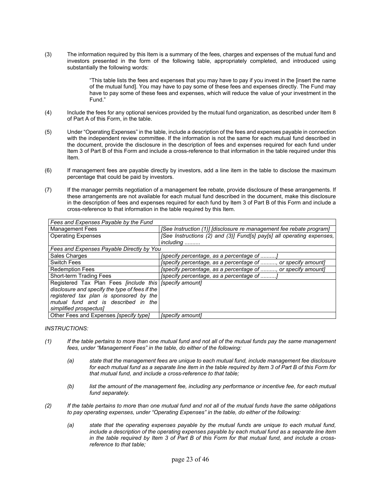(3) The information required by this Item is a summary of the fees, charges and expenses of the mutual fund and investors presented in the form of the following table, appropriately completed, and introduced using substantially the following words:

> "This table lists the fees and expenses that you may have to pay if you invest in the [insert the name of the mutual fund]. You may have to pay some of these fees and expenses directly. The Fund may have to pay some of these fees and expenses, which will reduce the value of your investment in the Fund."

- (4) Include the fees for any optional services provided by the mutual fund organization, as described under Item 8 of Part A of this Form, in the table.
- (5) Under "Operating Expenses" in the table, include a description of the fees and expenses payable in connection with the independent review committee. If the information is not the same for each mutual fund described in the document, provide the disclosure in the description of fees and expenses required for each fund under Item 3 of Part B of this Form and include a cross-reference to that information in the table required under this Item.
- (6) If management fees are payable directly by investors, add a line item in the table to disclose the maximum percentage that could be paid by investors.
- (7) If the manager permits negotiation of a management fee rebate, provide disclosure of these arrangements. If these arrangements are not available for each mutual fund described in the document, make this disclosure in the description of fees and expenses required for each fund by Item 3 of Part B of this Form and include a cross-reference to that information in the table required by this Item.

| Fees and Expenses Payable by the Fund                     |                                                                       |  |  |
|-----------------------------------------------------------|-----------------------------------------------------------------------|--|--|
| <b>Management Fees</b>                                    | [See Instruction (1)] [disclosure re management fee rebate program]   |  |  |
| <b>Operating Expenses</b>                                 | [See Instructions (2) and (3)] Fund[s] pay[s] all operating expenses, |  |  |
|                                                           | including                                                             |  |  |
| Fees and Expenses Payable Directly by You                 |                                                                       |  |  |
| Sales Charges                                             | [specify percentage, as a percentage of                               |  |  |
| <b>Switch Fees</b>                                        | [specify percentage, as a percentage of , or specify amount]          |  |  |
| <b>Redemption Fees</b>                                    | [specify percentage, as a percentage of , or specify amount]          |  |  |
| Short-term Trading Fees                                   | [specify percentage, as a percentage of                               |  |  |
| Registered Tax Plan Fees [include this   [specify amount] |                                                                       |  |  |
| disclosure and specify the type of fees if the            |                                                                       |  |  |
| registered tax plan is sponsored by the                   |                                                                       |  |  |
| mutual fund and is described in the                       |                                                                       |  |  |
| simplified prospectus]                                    |                                                                       |  |  |
| Other Fees and Expenses [specify type]                    | [specify amount]                                                      |  |  |

# *INSTRUCTIONS:*

- *(1) If the table pertains to more than one mutual fund and not all of the mutual funds pay the same management fees, under "Management Fees" in the table, do either of the following:* 
	- *(a) state that the management fees are unique to each mutual fund, include management fee disclosure for each mutual fund as a separate line item in the table required by Item 3 of Part B of this Form for that mutual fund, and include a cross-reference to that table;*
	- *(b) list the amount of the management fee, including any performance or incentive fee, for each mutual fund separately.*
- *(2) If the table pertains to more than one mutual fund and not all of the mutual funds have the same obligations to pay operating expenses, under "Operating Expenses" in the table, do either of the following:* 
	- *(a) state that the operating expenses payable by the mutual funds are unique to each mutual fund, include a description of the operating expenses payable by each mutual fund as a separate line item in the table required by Item 3 of Part B of this Form for that mutual fund, and include a crossreference to that table;*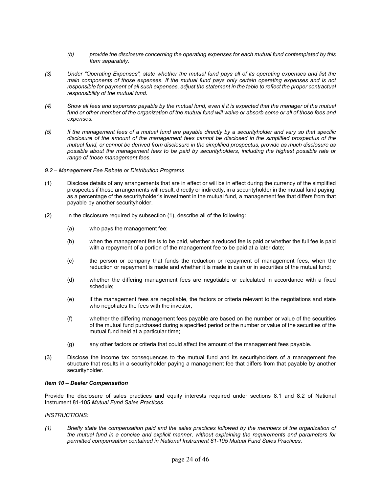- *(b) provide the disclosure concerning the operating expenses for each mutual fund contemplated by this Item separately.*
- *(3) Under "Operating Expenses", state whether the mutual fund pays all of its operating expenses and list the main components of those expenses. If the mutual fund pays only certain operating expenses and is not*  responsible for payment of all such expenses, adjust the statement in the table to reflect the proper contractual *responsibility of the mutual fund.*
- *(4) Show all fees and expenses payable by the mutual fund, even if it is expected that the manager of the mutual*  fund or other member of the organization of the mutual fund will waive or absorb some or all of those fees and *expenses.*
- *(5) If the management fees of a mutual fund are payable directly by a securityholder and vary so that specific disclosure of the amount of the management fees cannot be disclosed in the simplified prospectus of the mutual fund, or cannot be derived from disclosure in the simplified prospectus, provide as much disclosure as possible about the management fees to be paid by securityholders, including the highest possible rate or range of those management fees.*
- *9.2 Management Fee Rebate or Distribution Programs*
- (1) Disclose details of any arrangements that are in effect or will be in effect during the currency of the simplified prospectus if those arrangements will result, directly or indirectly, in a securityholder in the mutual fund paying, as a percentage of the securityholder's investment in the mutual fund, a management fee that differs from that payable by another securityholder.
- (2) In the disclosure required by subsection (1), describe all of the following:
	- (a) who pays the management fee;
	- (b) when the management fee is to be paid, whether a reduced fee is paid or whether the full fee is paid with a repayment of a portion of the management fee to be paid at a later date;
	- (c) the person or company that funds the reduction or repayment of management fees, when the reduction or repayment is made and whether it is made in cash or in securities of the mutual fund;
	- (d) whether the differing management fees are negotiable or calculated in accordance with a fixed schedule;
	- (e) if the management fees are negotiable, the factors or criteria relevant to the negotiations and state who negotiates the fees with the investor:
	- (f) whether the differing management fees payable are based on the number or value of the securities of the mutual fund purchased during a specified period or the number or value of the securities of the mutual fund held at a particular time;
	- (g) any other factors or criteria that could affect the amount of the management fees payable.
- (3) Disclose the income tax consequences to the mutual fund and its securityholders of a management fee structure that results in a securityholder paying a management fee that differs from that payable by another securityholder.

# *Item 10 – Dealer Compensation*

Provide the disclosure of sales practices and equity interests required under sections 8.1 and 8.2 of National Instrument 81-105 *Mutual Fund Sales Practices*.

#### *INSTRUCTIONS:*

*(1) Briefly state the compensation paid and the sales practices followed by the members of the organization of the mutual fund in a concise and explicit manner, without explaining the requirements and parameters for permitted compensation contained in National Instrument 81-105 Mutual Fund Sales Practices*.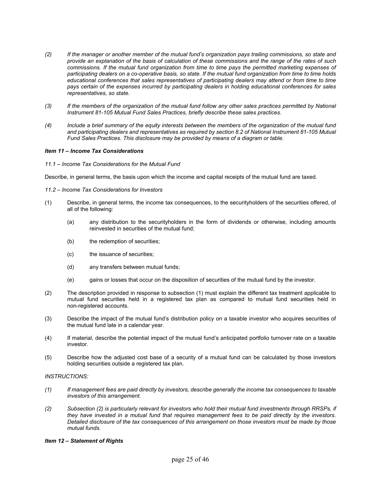- *(2) If the manager or another member of the mutual fund's organization pays trailing commissions, so state and provide an explanation of the basis of calculation of these commissions and the range of the rates of such commissions. If the mutual fund organization from time to time pays the permitted marketing expenses of participating dealers on a co-operative basis, so state. If the mutual fund organization from time to time holds educational conferences that sales representatives of participating dealers may attend or from time to time pays certain of the expenses incurred by participating dealers in holding educational conferences for sales representatives, so state*.
- *(3) If the members of the organization of the mutual fund follow any other sales practices permitted by National Instrument 81-105 Mutual Fund Sales Practices, briefly describe these sales practices*.
- *(4) Include a brief summary of the equity interests between the members of the organization of the mutual fund and participating dealers and representatives as required by section 8.2 of National Instrument 81-105 Mutual Fund Sales Practices. This disclosure may be provided by means of a diagram or table*.

# *Item 11 – Income Tax Considerations*

*11.1 – Income Tax Considerations for the Mutual Fund* 

Describe, in general terms, the basis upon which the income and capital receipts of the mutual fund are taxed.

- *11.2 Income Tax Considerations for Investors*
- (1) Describe, in general terms, the income tax consequences, to the securityholders of the securities offered, of all of the following:
	- (a) any distribution to the securityholders in the form of dividends or otherwise, including amounts reinvested in securities of the mutual fund;
	- (b) the redemption of securities;
	- (c) the issuance of securities;
	- (d) any transfers between mutual funds;
	- (e) gains or losses that occur on the disposition of securities of the mutual fund by the investor.
- (2) The description provided in response to subsection (1) must explain the different tax treatment applicable to mutual fund securities held in a registered tax plan as compared to mutual fund securities held in non-registered accounts.
- (3) Describe the impact of the mutual fund's distribution policy on a taxable investor who acquires securities of the mutual fund late in a calendar year.
- (4) If material, describe the potential impact of the mutual fund's anticipated portfolio turnover rate on a taxable investor.
- (5) Describe how the adjusted cost base of a security of a mutual fund can be calculated by those investors holding securities outside a registered tax plan.

# *INSTRUCTIONS:*

- *(1) If management fees are paid directly by investors, describe generally the income tax consequences to taxable investors of this arrangement.*
- *(2) Subsection (2) is particularly relevant for investors who hold their mutual fund investments through RRSPs, if they have invested in a mutual fund that requires management fees to be paid directly by the investors. Detailed disclosure of the tax consequences of this arrangement on those investors must be made by those mutual funds.*

# *Item 12 – Statement of Rights*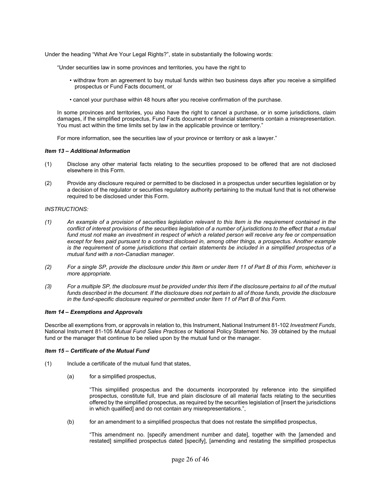Under the heading "What Are Your Legal Rights?", state in substantially the following words:

"Under securities law in some provinces and territories, you have the right to

- withdraw from an agreement to buy mutual funds within two business days after you receive a simplified prospectus or Fund Facts document, or
- cancel your purchase within 48 hours after you receive confirmation of the purchase.

In some provinces and territories, you also have the right to cancel a purchase, or in some jurisdictions, claim damages, if the simplified prospectus, Fund Facts document or financial statements contain a misrepresentation. You must act within the time limits set by law in the applicable province or territory."

For more information, see the securities law of your province or territory or ask a lawyer."

#### *Item 13 – Additional Information*

- (1) Disclose any other material facts relating to the securities proposed to be offered that are not disclosed elsewhere in this Form.
- (2) Provide any disclosure required or permitted to be disclosed in a prospectus under securities legislation or by a decision of the regulator or securities regulatory authority pertaining to the mutual fund that is not otherwise required to be disclosed under this Form.

# *INSTRUCTIONS:*

- *(1) An example of a provision of securities legislation relevant to this Item is the requirement contained in the conflict of interest provisions of the securities legislation of a number of jurisdictions to the effect that a mutual fund must not make an investment in respect of which a related person will receive any fee or compensation except for fees paid pursuant to a contract disclosed in, among other things, a prospectus. Another example is the requirement of some jurisdictions that certain statements be included in a simplified prospectus of a mutual fund with a non-Canadian manager*.
- *(2) For a single SP, provide the disclosure under this Item or under Item 11 of Part B of this Form, whichever is more appropriate.*
- *(3) For a multiple SP, the disclosure must be provided under this Item if the disclosure pertains to all of the mutual*  funds described in the document. If the disclosure does not pertain to all of those funds, provide the disclosure *in the fund-specific disclosure required or permitted under Item 11 of Part B of this Form.*

#### *Item 14 – Exemptions and Approvals*

Describe all exemptions from, or approvals in relation to, this Instrument, National Instrument 81-102 *Investment Funds*, National Instrument 81-105 *Mutual Fund Sales Practices* or National Policy Statement No. 39 obtained by the mutual fund or the manager that continue to be relied upon by the mutual fund or the manager.

# *Item 15 – Certificate of the Mutual Fund*

- (1) Include a certificate of the mutual fund that states,
	- (a) for a simplified prospectus,

"This simplified prospectus and the documents incorporated by reference into the simplified prospectus, constitute full, true and plain disclosure of all material facts relating to the securities offered by the simplified prospectus, as required by the securities legislation of [insert the jurisdictions in which qualified] and do not contain any misrepresentations.",

(b) for an amendment to a simplified prospectus that does not restate the simplified prospectus,

"This amendment no. [specify amendment number and date], together with the [amended and restated] simplified prospectus dated [specify], [amending and restating the simplified prospectus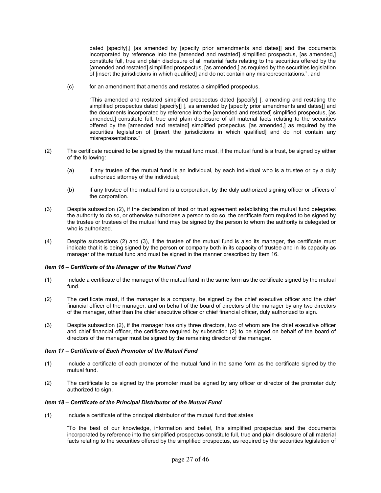dated [specify],] [as amended by [specify prior amendments and dates]] and the documents incorporated by reference into the [amended and restated] simplified prospectus, [as amended,] constitute full, true and plain disclosure of all material facts relating to the securities offered by the [amended and restated] simplified prospectus, [as amended,] as required by the securities legislation of [insert the jurisdictions in which qualified] and do not contain any misrepresentations.", and

(c) for an amendment that amends and restates a simplified prospectus,

"This amended and restated simplified prospectus dated [specify] [, amending and restating the simplified prospectus dated [specify]] [, as amended by [specify prior amendments and dates]] and the documents incorporated by reference into the [amended and restated] simplified prospectus, [as amended,] constitute full, true and plain disclosure of all material facts relating to the securities offered by the [amended and restated] simplified prospectus, [as amended,] as required by the securities legislation of [insert the jurisdictions in which qualified] and do not contain any misrepresentations."

- (2) The certificate required to be signed by the mutual fund must, if the mutual fund is a trust, be signed by either of the following:
	- (a) if any trustee of the mutual fund is an individual, by each individual who is a trustee or by a duly authorized attorney of the individual;
	- (b) if any trustee of the mutual fund is a corporation, by the duly authorized signing officer or officers of the corporation.
- (3) Despite subsection (2), if the declaration of trust or trust agreement establishing the mutual fund delegates the authority to do so, or otherwise authorizes a person to do so, the certificate form required to be signed by the trustee or trustees of the mutual fund may be signed by the person to whom the authority is delegated or who is authorized.
- (4) Despite subsections (2) and (3), if the trustee of the mutual fund is also its manager, the certificate must indicate that it is being signed by the person or company both in its capacity of trustee and in its capacity as manager of the mutual fund and must be signed in the manner prescribed by Item 16.

# *Item 16 – Certificate of the Manager of the Mutual Fund*

- (1) Include a certificate of the manager of the mutual fund in the same form as the certificate signed by the mutual fund.
- (2) The certificate must, if the manager is a company, be signed by the chief executive officer and the chief financial officer of the manager, and on behalf of the board of directors of the manager by any two directors of the manager, other than the chief executive officer or chief financial officer, duly authorized to sign.
- (3) Despite subsection (2), if the manager has only three directors, two of whom are the chief executive officer and chief financial officer, the certificate required by subsection (2) to be signed on behalf of the board of directors of the manager must be signed by the remaining director of the manager.

# *Item 17 – Certificate of Each Promoter of the Mutual Fund*

- (1) Include a certificate of each promoter of the mutual fund in the same form as the certificate signed by the mutual fund.
- (2) The certificate to be signed by the promoter must be signed by any officer or director of the promoter duly authorized to sign.

# *Item 18 – Certificate of the Principal Distributor of the Mutual Fund*

(1) Include a certificate of the principal distributor of the mutual fund that states

"To the best of our knowledge, information and belief, this simplified prospectus and the documents incorporated by reference into the simplified prospectus constitute full, true and plain disclosure of all material facts relating to the securities offered by the simplified prospectus, as required by the securities legislation of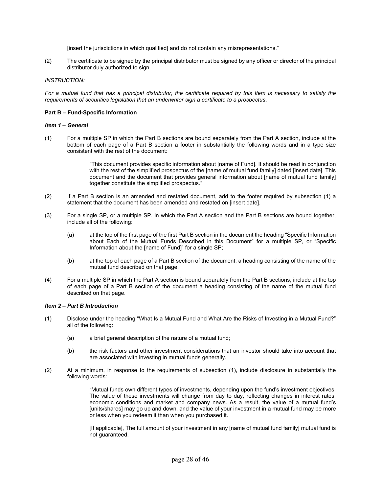[insert the jurisdictions in which qualified] and do not contain any misrepresentations."

(2) The certificate to be signed by the principal distributor must be signed by any officer or director of the principal distributor duly authorized to sign.

# *INSTRUCTION:*

*For a mutual fund that has a principal distributor, the certificate required by this Item is necessary to satisfy the requirements of securities legislation that an underwriter sign a certificate to a prospectus*.

# **Part B – Fund-Specific Information**

#### *Item 1 – General*

(1) For a multiple SP in which the Part B sections are bound separately from the Part A section, include at the bottom of each page of a Part B section a footer in substantially the following words and in a type size consistent with the rest of the document:

> "This document provides specific information about [name of Fund]. It should be read in conjunction with the rest of the simplified prospectus of the [name of mutual fund family] dated [insert date]. This document and the document that provides general information about [name of mutual fund family] together constitute the simplified prospectus."

- (2) If a Part B section is an amended and restated document, add to the footer required by subsection (1) a statement that the document has been amended and restated on [insert date].
- (3)For a single SP, or a multiple SP, in which the Part A section and the Part B sections are bound together, include all of the following:
	- (a) at the top of the first page of the first Part B section in the document the heading "Specific Information about Each of the Mutual Funds Described in this Document" for a multiple SP, or "Specific Information about the [name of Fund]" for a single SP;
	- (b) at the top of each page of a Part B section of the document, a heading consisting of the name of the mutual fund described on that page.
- (4) For a multiple SP in which the Part A section is bound separately from the Part B sections, include at the top of each page of a Part B section of the document a heading consisting of the name of the mutual fund described on that page.

#### *Item 2 – Part B Introduction*

- (1) Disclose under the heading "What Is a Mutual Fund and What Are the Risks of Investing in a Mutual Fund?" all of the following:
	- (a) a brief general description of the nature of a mutual fund;
	- (b) the risk factors and other investment considerations that an investor should take into account that are associated with investing in mutual funds generally.
- (2) At a minimum, in response to the requirements of subsection (1), include disclosure in substantially the following words:

"Mutual funds own different types of investments, depending upon the fund's investment objectives. The value of these investments will change from day to day, reflecting changes in interest rates, economic conditions and market and company news. As a result, the value of a mutual fund's [units/shares] may go up and down, and the value of your investment in a mutual fund may be more or less when you redeem it than when you purchased it.

[If applicable], The full amount of your investment in any [name of mutual fund family] mutual fund is not guaranteed.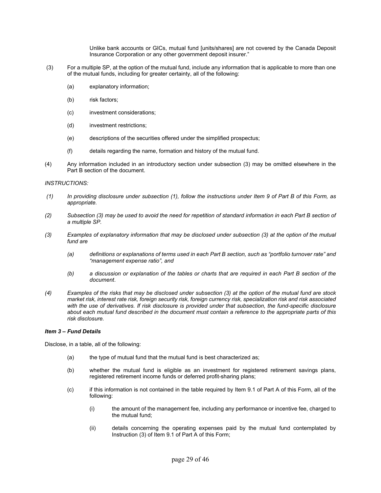Unlike bank accounts or GICs, mutual fund [units/shares] are not covered by the Canada Deposit Insurance Corporation or any other government deposit insurer."

- (3) For a multiple SP, at the option of the mutual fund, include any information that is applicable to more than one of the mutual funds, including for greater certainty, all of the following:
	- (a) explanatory information;
	- (b) risk factors;
	- (c) investment considerations;
	- (d) investment restrictions;
	- (e) descriptions of the securities offered under the simplified prospectus;
	- (f) details regarding the name, formation and history of the mutual fund.
- (4) Any information included in an introductory section under subsection (3) may be omitted elsewhere in the Part B section of the document.

#### *INSTRUCTIONS:*

- *(1) In providing disclosure under subsection (1), follow the instructions under Item 9 of Part B of this Form, as appropriate.*
- *(2) Subsection (3) may be used to avoid the need for repetition of standard information in each Part B section of a multiple SP.*
- *(3) Examples of explanatory information that may be disclosed under subsection (3) at the option of the mutual fund are* 
	- *(a) definitions or explanations of terms used in each Part B section, such as "portfolio turnover rate" and "management expense ratio", and*
	- *(b) a discussion or explanation of the tables or charts that are required in each Part B section of the document*.
- *(4) Examples of the risks that may be disclosed under subsection (3) at the option of the mutual fund are stock market risk, interest rate risk, foreign security risk, foreign currency risk, specialization risk and risk associated*  with the use of derivatives. If risk disclosure is provided under that subsection, the fund-specific disclosure *about each mutual fund described in the document must contain a reference to the appropriate parts of this risk disclosure.*

#### *Item 3 – Fund Details*

Disclose, in a table, all of the following:

- (a) the type of mutual fund that the mutual fund is best characterized as;
- (b) whether the mutual fund is eligible as an investment for registered retirement savings plans, registered retirement income funds or deferred profit-sharing plans;
- (c) if this information is not contained in the table required by Item 9.1 of Part A of this Form, all of the following:
	- (i) the amount of the management fee, including any performance or incentive fee, charged to the mutual fund;
	- (ii) details concerning the operating expenses paid by the mutual fund contemplated by Instruction (3) of Item 9.1 of Part A of this Form;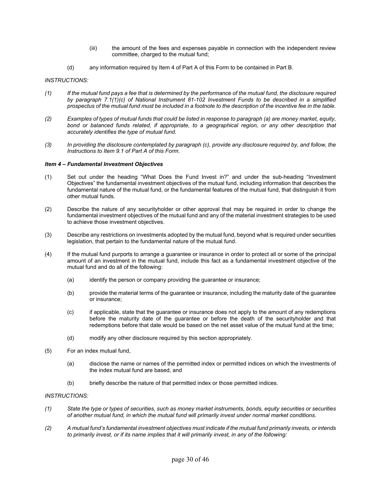- (iii) the amount of the fees and expenses payable in connection with the independent review committee, charged to the mutual fund;
- (d) any information required by Item 4 of Part A of this Form to be contained in Part B.

# *INSTRUCTIONS:*

- *(1) If the mutual fund pays a fee that is determined by the performance of the mutual fund, the disclosure required by paragraph 7.1(1)(c) of National Instrument 81-102 Investment Funds to be described in a simplified prospectus of the mutual fund must be included in a footnote to the description of the incentive fee in the table*.
- *(2) Examples of types of mutual funds that could be listed in response to paragraph (a) are money market, equity,*  bond or balanced funds related, if appropriate, to a geographical region, or any other description that *accurately identifies the type of mutual fund.*
- *(3) In providing the disclosure contemplated by paragraph (c), provide any disclosure required by, and follow, the Instructions to Item 9.1 of Part A of this Form*.

# *Item 4 – Fundamental Investment Objectives*

- (1) Set out under the heading "What Does the Fund Invest in?" and under the sub-heading "Investment Objectives" the fundamental investment objectives of the mutual fund, including information that describes the fundamental nature of the mutual fund, or the fundamental features of the mutual fund, that distinguish it from other mutual funds.
- (2) Describe the nature of any securityholder or other approval that may be required in order to change the fundamental investment objectives of the mutual fund and any of the material investment strategies to be used to achieve those investment objectives.
- (3) Describe any restrictions on investments adopted by the mutual fund, beyond what is required under securities legislation, that pertain to the fundamental nature of the mutual fund.
- (4) If the mutual fund purports to arrange a guarantee or insurance in order to protect all or some of the principal amount of an investment in the mutual fund, include this fact as a fundamental investment objective of the mutual fund and do all of the following:
	- (a) identify the person or company providing the guarantee or insurance;
	- (b) provide the material terms of the guarantee or insurance, including the maturity date of the guarantee or insurance;
	- (c) if applicable, state that the guarantee or insurance does not apply to the amount of any redemptions before the maturity date of the guarantee or before the death of the securityholder and that redemptions before that date would be based on the net asset value of the mutual fund at the time;
	- (d) modify any other disclosure required by this section appropriately.
- (5) For an index mutual fund,
	- (a) disclose the name or names of the permitted index or permitted indices on which the investments of the index mutual fund are based, and
	- (b) briefly describe the nature of that permitted index or those permitted indices.

# *INSTRUCTIONS:*

- *(1) State the type or types of securities, such as money market instruments, bonds, equity securities or securities of another mutual fund, in which the mutual fund will primarily invest under normal market conditions*.
- *(2) A mutual fund's fundamental investment objectives must indicate if the mutual fund primarily invests, or intends to primarily invest, or if its name implies that it will primarily invest, in any of the following:*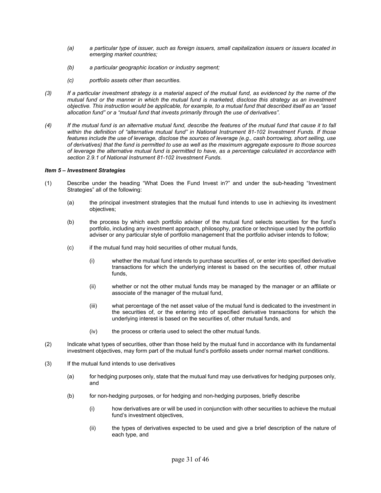- *(a) a particular type of issuer, such as foreign issuers, small capitalization issuers or issuers located in emerging market countries;*
- *(b) a particular geographic location or industry segment;*
- *(c) portfolio assets other than securities.*
- *(3) If a particular investment strategy is a material aspect of the mutual fund, as evidenced by the name of the mutual fund or the manner in which the mutual fund is marketed, disclose this strategy as an investment objective. This instruction would be applicable, for example, to a mutual fund that described itself as an "asset allocation fund" or a "mutual fund that invests primarily through the use of derivatives"*.
- *(4) If the mutual fund is an alternative mutual fund, describe the features of the mutual fund that cause it to fall within the definition of "alternative mutual fund" in National Instrument 81-102 Investment Funds. If those features include the use of leverage, disclose the sources of leverage (e.g., cash borrowing, short selling, use of derivatives) that the fund is permitted to use as well as the maximum aggregate exposure to those sources of leverage the alternative mutual fund is permitted to have, as a percentage calculated in accordance with section 2.9.1 of National Instrument 81-102 Investment Funds.*

# *Item 5 – Investment Strategies*

- (1) Describe under the heading "What Does the Fund Invest in?" and under the sub-heading "Investment Strategies" all of the following:
	- (a) the principal investment strategies that the mutual fund intends to use in achieving its investment objectives;
	- (b) the process by which each portfolio adviser of the mutual fund selects securities for the fund's portfolio, including any investment approach, philosophy, practice or technique used by the portfolio adviser or any particular style of portfolio management that the portfolio adviser intends to follow;
	- (c) if the mutual fund may hold securities of other mutual funds,
		- (i) whether the mutual fund intends to purchase securities of, or enter into specified derivative transactions for which the underlying interest is based on the securities of, other mutual funds,
		- (ii) whether or not the other mutual funds may be managed by the manager or an affiliate or associate of the manager of the mutual fund,
		- (iii) what percentage of the net asset value of the mutual fund is dedicated to the investment in the securities of, or the entering into of specified derivative transactions for which the underlying interest is based on the securities of, other mutual funds, and
		- (iv) the process or criteria used to select the other mutual funds.
- (2) Indicate what types of securities, other than those held by the mutual fund in accordance with its fundamental investment objectives, may form part of the mutual fund's portfolio assets under normal market conditions.
- (3) If the mutual fund intends to use derivatives
	- (a) for hedging purposes only, state that the mutual fund may use derivatives for hedging purposes only, and
	- (b) for non-hedging purposes, or for hedging and non-hedging purposes, briefly describe
		- (i) how derivatives are or will be used in conjunction with other securities to achieve the mutual fund's investment objectives,
		- (ii) the types of derivatives expected to be used and give a brief description of the nature of each type, and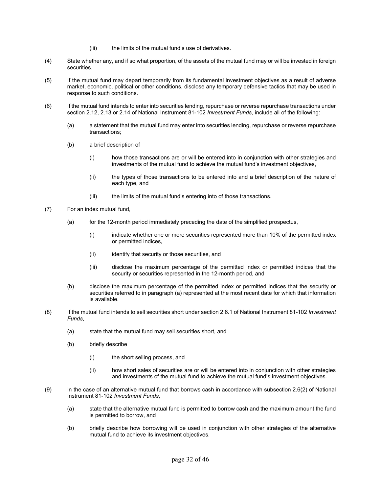- (iii) the limits of the mutual fund's use of derivatives.
- (4) State whether any, and if so what proportion, of the assets of the mutual fund may or will be invested in foreign securities.
- (5) If the mutual fund may depart temporarily from its fundamental investment objectives as a result of adverse market, economic, political or other conditions, disclose any temporary defensive tactics that may be used in response to such conditions.
- (6) If the mutual fund intends to enter into securities lending, repurchase or reverse repurchase transactions under section 2.12, 2.13 or 2.14 of National Instrument 81-102 *Investment Funds*, include all of the following:
	- (a) a statement that the mutual fund may enter into securities lending, repurchase or reverse repurchase transactions;
	- (b) a brief description of
		- (i) how those transactions are or will be entered into in conjunction with other strategies and investments of the mutual fund to achieve the mutual fund's investment objectives,
		- (ii) the types of those transactions to be entered into and a brief description of the nature of each type, and
		- (iii) the limits of the mutual fund's entering into of those transactions.
- (7) For an index mutual fund,
	- (a) for the 12-month period immediately preceding the date of the simplified prospectus,
		- (i) indicate whether one or more securities represented more than 10% of the permitted index or permitted indices,
		- (ii) identify that security or those securities, and
		- (iii) disclose the maximum percentage of the permitted index or permitted indices that the security or securities represented in the 12-month period, and
	- (b) disclose the maximum percentage of the permitted index or permitted indices that the security or securities referred to in paragraph (a) represented at the most recent date for which that information is available.
- (8) If the mutual fund intends to sell securities short under section 2.6.1 of National Instrument 81-102 *Investment Funds*,
	- (a) state that the mutual fund may sell securities short, and
	- (b) briefly describe
		- (i) the short selling process, and
		- (ii) how short sales of securities are or will be entered into in conjunction with other strategies and investments of the mutual fund to achieve the mutual fund's investment objectives.
- (9) In the case of an alternative mutual fund that borrows cash in accordance with subsection 2.6(2) of National Instrument 81-102 *Investment Funds*,
	- (a) state that the alternative mutual fund is permitted to borrow cash and the maximum amount the fund is permitted to borrow, and
	- (b) briefly describe how borrowing will be used in conjunction with other strategies of the alternative mutual fund to achieve its investment objectives.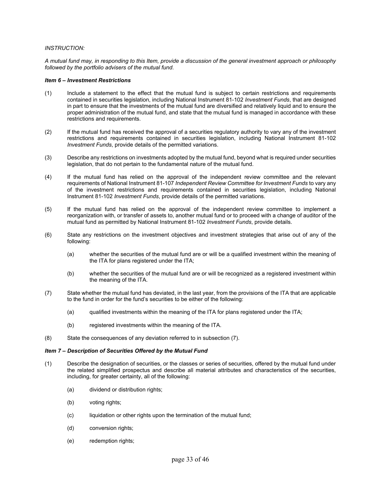# *INSTRUCTION:*

*A mutual fund may, in responding to this Item, provide a discussion of the general investment approach or philosophy followed by the portfolio advisers of the mutual fund*.

# *Item 6 – Investment Restrictions*

- (1) Include a statement to the effect that the mutual fund is subject to certain restrictions and requirements contained in securities legislation, including National Instrument 81-102 *Investment Funds*, that are designed in part to ensure that the investments of the mutual fund are diversified and relatively liquid and to ensure the proper administration of the mutual fund, and state that the mutual fund is managed in accordance with these restrictions and requirements.
- (2) If the mutual fund has received the approval of a securities regulatory authority to vary any of the investment restrictions and requirements contained in securities legislation, including National Instrument 81-102 *Investment Funds*, provide details of the permitted variations.
- (3) Describe any restrictions on investments adopted by the mutual fund, beyond what is required under securities legislation, that do not pertain to the fundamental nature of the mutual fund.
- (4) If the mutual fund has relied on the approval of the independent review committee and the relevant requirements of National Instrument 81-107 *Independent Review Committee for Investment Funds* to vary any of the investment restrictions and requirements contained in securities legislation, including National Instrument 81-102 *Investment Funds*, provide details of the permitted variations.
- (5) If the mutual fund has relied on the approval of the independent review committee to implement a reorganization with, or transfer of assets to, another mutual fund or to proceed with a change of auditor of the mutual fund as permitted by National Instrument 81-102 *Investment Funds*, provide details.
- (6) State any restrictions on the investment objectives and investment strategies that arise out of any of the following:
	- (a) whether the securities of the mutual fund are or will be a qualified investment within the meaning of the ITA for plans registered under the ITA;
	- (b) whether the securities of the mutual fund are or will be recognized as a registered investment within the meaning of the ITA.
- (7) State whether the mutual fund has deviated, in the last year, from the provisions of the ITA that are applicable to the fund in order for the fund's securities to be either of the following:
	- (a) qualified investments within the meaning of the ITA for plans registered under the ITA;
	- (b) registered investments within the meaning of the ITA.
- (8) State the consequences of any deviation referred to in subsection (7).

# *Item 7 – Description of Securities Offered by the Mutual Fund*

- (1) Describe the designation of securities, or the classes or series of securities, offered by the mutual fund under the related simplified prospectus and describe all material attributes and characteristics of the securities, including, for greater certainty, all of the following:
	- (a) dividend or distribution rights;
	- (b) voting rights;
	- (c) liquidation or other rights upon the termination of the mutual fund;
	- (d) conversion rights;
	- (e) redemption rights;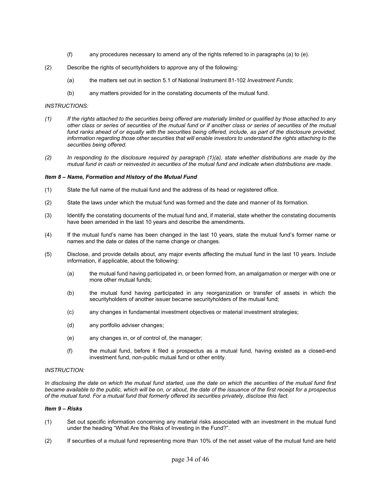- (f) any procedures necessary to amend any of the rights referred to in paragraphs (a) to (e).
- (2) Describe the rights of securityholders to approve any of the following:
	- (a) the matters set out in section 5.1 of National Instrument 81-102 *Investment Funds*;
	- (b) any matters provided for in the constating documents of the mutual fund.

#### *INSTRUCTIONS:*

- *(1) If the rights attached to the securities being offered are materially limited or qualified by those attached to any other class or series of securities of the mutual fund or if another class or series of securities of the mutual*  fund ranks ahead of or equally with the securities being offered, include, as part of the disclosure provided, information regarding those other securities that will enable investors to understand the rights attaching to the *securities being offered*.
- *(2) In responding to the disclosure required by paragraph (1)(a), state whether distributions are made by the mutual fund in cash or reinvested in securities of the mutual fund and indicate when distributions are made.*

#### *Item 8 – Name, Formation and History of the Mutual Fund*

- (1) State the full name of the mutual fund and the address of its head or registered office.
- (2) State the laws under which the mutual fund was formed and the date and manner of its formation.
- (3) Identify the constating documents of the mutual fund and, if material, state whether the constating documents have been amended in the last 10 years and describe the amendments.
- (4) If the mutual fund's name has been changed in the last 10 years, state the mutual fund's former name or names and the date or dates of the name change or changes.
- (5) Disclose, and provide details about, any major events affecting the mutual fund in the last 10 years. Include information, if applicable, about the following:
	- (a) the mutual fund having participated in, or been formed from, an amalgamation or merger with one or more other mutual funds;
	- (b) the mutual fund having participated in any reorganization or transfer of assets in which the securityholders of another issuer became securityholders of the mutual fund;
	- (c) any changes in fundamental investment objectives or material investment strategies;
	- (d) any portfolio adviser changes;
	- (e) any changes in, or of control of, the manager;
	- (f) the mutual fund, before it filed a prospectus as a mutual fund, having existed as a closed-end investment fund, non-public mutual fund or other entity.

# *INSTRUCTION:*

*In disclosing the date on which the mutual fund started, use the date on which the securities of the mutual fund first became available to the public, which will be on, or about, the date of the issuance of the first receipt for a prospectus of the mutual fund. For a mutual fund that formerly offered its securities privately, disclose this fact*.

#### *Item 9 – Risks*

- (1) Set out specific information concerning any material risks associated with an investment in the mutual fund under the heading "What Are the Risks of Investing in the Fund?".
- (2) If securities of a mutual fund representing more than 10% of the net asset value of the mutual fund are held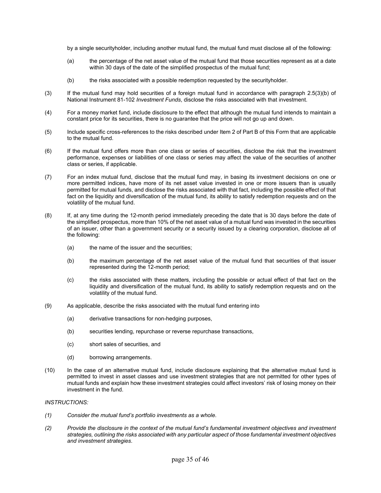by a single securityholder, including another mutual fund, the mutual fund must disclose all of the following:

- (a) the percentage of the net asset value of the mutual fund that those securities represent as at a date within 30 days of the date of the simplified prospectus of the mutual fund;
- (b) the risks associated with a possible redemption requested by the securityholder.
- (3) If the mutual fund may hold securities of a foreign mutual fund in accordance with paragraph 2.5(3)(b) of National Instrument 81-102 *Investment Funds*, disclose the risks associated with that investment.
- (4) For a money market fund, include disclosure to the effect that although the mutual fund intends to maintain a constant price for its securities, there is no guarantee that the price will not go up and down.
- (5) Include specific cross-references to the risks described under Item 2 of Part B of this Form that are applicable to the mutual fund.
- (6) If the mutual fund offers more than one class or series of securities, disclose the risk that the investment performance, expenses or liabilities of one class or series may affect the value of the securities of another class or series, if applicable.
- (7) For an index mutual fund, disclose that the mutual fund may, in basing its investment decisions on one or more permitted indices, have more of its net asset value invested in one or more issuers than is usually permitted for mutual funds, and disclose the risks associated with that fact, including the possible effect of that fact on the liquidity and diversification of the mutual fund, its ability to satisfy redemption requests and on the volatility of the mutual fund.
- (8) If, at any time during the 12-month period immediately preceding the date that is 30 days before the date of the simplified prospectus, more than 10% of the net asset value of a mutual fund was invested in the securities of an issuer, other than a government security or a security issued by a clearing corporation, disclose all of the following:
	- (a) the name of the issuer and the securities;
	- (b) the maximum percentage of the net asset value of the mutual fund that securities of that issuer represented during the 12-month period;
	- (c) the risks associated with these matters, including the possible or actual effect of that fact on the liquidity and diversification of the mutual fund, its ability to satisfy redemption requests and on the volatility of the mutual fund.
- (9) As applicable, describe the risks associated with the mutual fund entering into
	- (a) derivative transactions for non-hedging purposes,
	- (b) securities lending, repurchase or reverse repurchase transactions,
	- (c) short sales of securities, and
	- (d) borrowing arrangements.
- (10) In the case of an alternative mutual fund, include disclosure explaining that the alternative mutual fund is permitted to invest in asset classes and use investment strategies that are not permitted for other types of mutual funds and explain how these investment strategies could affect investors' risk of losing money on their investment in the fund.

# *INSTRUCTIONS:*

- *(1) Consider the mutual fund's portfolio investments as a whole*.
- *(2) Provide the disclosure in the context of the mutual fund's fundamental investment objectives and investment strategies, outlining the risks associated with any particular aspect of those fundamental investment objectives and investment strategies*.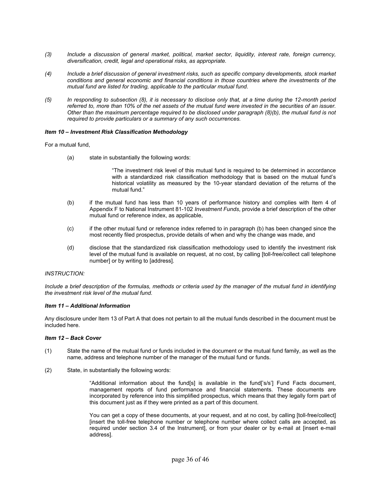- *(3) Include a discussion of general market, political, market sector, liquidity, interest rate, foreign currency, diversification, credit, legal and operational risks, as appropriate.*
- *(4) Include a brief discussion of general investment risks, such as specific company developments, stock market conditions and general economic and financial conditions in those countries where the investments of the mutual fund are listed for trading, applicable to the particular mutual fund*.
- *(5) In responding to subsection (8), it is necessary to disclose only that, at a time during the 12-month period referred to, more than 10% of the net assets of the mutual fund were invested in the securities of an issuer. Other than the maximum percentage required to be disclosed under paragraph (8)(b), the mutual fund is not required to provide particulars or a summary of any such occurrences.*

#### *Item 10 – Investment Risk Classification Methodology*

For a mutual fund,

(a) state in substantially the following words:

"The investment risk level of this mutual fund is required to be determined in accordance with a standardized risk classification methodology that is based on the mutual fund's historical volatility as measured by the 10-year standard deviation of the returns of the mutual fund."

- (b) if the mutual fund has less than 10 years of performance history and complies with Item 4 of Appendix F to National Instrument 81-102 *Investment Funds*, provide a brief description of the other mutual fund or reference index, as applicable,
- (c) if the other mutual fund or reference index referred to in paragraph (b) has been changed since the most recently filed prospectus, provide details of when and why the change was made, and
- (d) disclose that the standardized risk classification methodology used to identify the investment risk level of the mutual fund is available on request, at no cost, by calling [toll-free/collect call telephone number] or by writing to [address].

#### *INSTRUCTION:*

*Include a brief description of the formulas, methods or criteria used by the manager of the mutual fund in identifying the investment risk level of the mutual fund*.

#### *Item 11 – Additional Information*

Any disclosure under Item 13 of Part A that does not pertain to all the mutual funds described in the document must be included here.

#### *Item 12 – Back Cover*

- (1) State the name of the mutual fund or funds included in the document or the mutual fund family, as well as the name, address and telephone number of the manager of the mutual fund or funds.
- (2) State, in substantially the following words:

"Additional information about the fund[s] is available in the fund['s/s'] Fund Facts document, management reports of fund performance and financial statements. These documents are incorporated by reference into this simplified prospectus, which means that they legally form part of this document just as if they were printed as a part of this document.

You can get a copy of these documents, at your request, and at no cost, by calling [toll-free/collect] [insert the toll-free telephone number or telephone number where collect calls are accepted, as required under section 3.4 of the Instrument], or from your dealer or by e-mail at [insert e-mail address].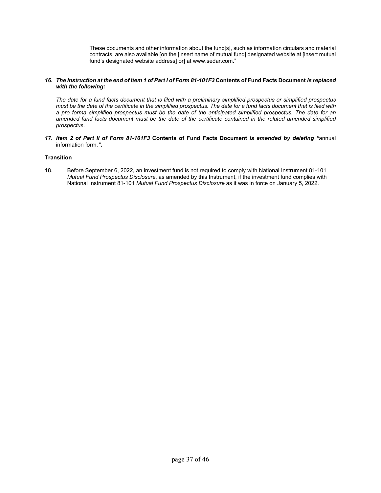These documents and other information about the fund[s], such as information circulars and material contracts, are also available [on the [insert name of mutual fund] designated website at [insert mutual fund's designated website address] or] at www.sedar.com."

# *16. The Instruction at the end of Item 1 of Part I of Form 81-101F3* **Contents of Fund Facts Document** *is replaced with the following:*

*The date for a fund facts document that is filed with a preliminary simplified prospectus or simplified prospectus must be the date of the certificate in the simplified prospectus. The date for a fund facts document that is filed with a pro forma simplified prospectus must be the date of the anticipated simplified prospectus. The date for an amended fund facts document must be the date of the certificate contained in the related amended simplified prospectus*.

*17. Item 2 of Part II of Form 81-101F3* **Contents of Fund Facts Document** *is amended by deleting "*annual information form,*".* 

# **Transition**

18. Before September 6, 2022, an investment fund is not required to comply with National Instrument 81-101 *Mutual Fund Prospectus Disclosure*, as amended by this Instrument, if the investment fund complies with National Instrument 81-101 *Mutual Fund Prospectus Disclosure* as it was in force on January 5, 2022.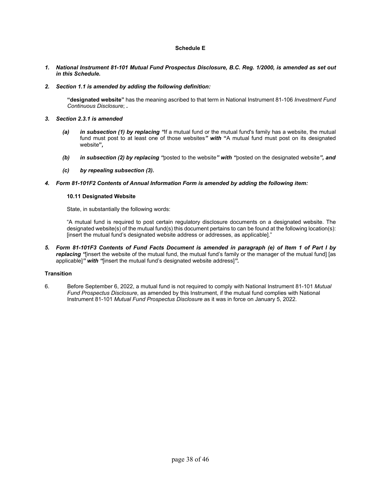# **Schedule E**

- *1. National Instrument 81-101 Mutual Fund Prospectus Disclosure, B.C. Reg. 1/2000, is amended as set out in this Schedule.*
- *2. Section 1.1 is amended by adding the following definition:*

**"designated website"** has the meaning ascribed to that term in National Instrument 81-106 *Investment Fund Continuous Disclosure*; *.* 

- *3. Section 2.3.1 is amended* 
	- *(a) in subsection (1) by replacing "*If a mutual fund or the mutual fund's family has a website, the mutual fund must post to at least one of those websites*" with* **"**A mutual fund must post on its designated website**"***,*
	- *(b) in subsection (2) by replacing "*posted to the website*" with "*posted on the designated website*", and*
	- *(c) by repealing subsection (3).*
- *4. Form 81-101F2 Contents of Annual Information Form is amended by adding the following item:*

#### **10.11 Designated Website**

State, in substantially the following words:

"A mutual fund is required to post certain regulatory disclosure documents on a designated website. The designated website(s) of the mutual fund(s) this document pertains to can be found at the following location(s): [insert the mutual fund's designated website address or addresses, as applicable]."

*5. Form 81-101F3 Contents of Fund Facts Document is amended in paragraph (e) of Item 1 of Part I by replacing "*[insert the website of the mutual fund, the mutual fund's family or the manager of the mutual fund] [as applicable]*" with "*[insert the mutual fund's designated website address]*".* 

# **Transition**

6. Before September 6, 2022, a mutual fund is not required to comply with National Instrument 81-101 *Mutual Fund Prospectus Disclosure*, as amended by this Instrument, if the mutual fund complies with National Instrument 81-101 *Mutual Fund Prospectus Disclosure* as it was in force on January 5, 2022.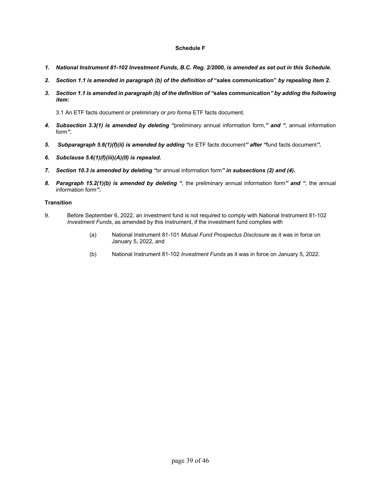# **Schedule F**

- *1. National Instrument 81-102 Investment Funds, B.C. Reg. 2/2000, is amended as set out in this Schedule.*
- *2. Section 1.1 is amended in paragraph (b) of the definition of* **"sales communication"** *by repealing item 2.*
- *3. Section 1.1 is amended in paragraph (b) of the definition of "***sales communication***" by adding the following item:*

3.1 An ETF facts document or preliminary or *pro forma* ETF facts document.

- *4. Subsection 3.3(1) is amended by deleting "*preliminary annual information form,*" and "*, annual information form*".*
- *5. Subparagraph 5.6(1)(f)(ii) is amended by adding "*or ETF facts document*" after "*fund facts document*".*
- *6. Subclause 5.6(1)(f)(iii)(A)(II) is repealed.*
- *7. Section 10.3 is amended by deleting "*or annual information form*" in subsections (2) and (4).*
- *8. Paragraph 15.2(1)(b) is amended by deleting "*, the preliminary annual information form*" and "*, the annual information form*".*

# **Transition**

- 9. Before September 6, 2022, an investment fund is not required to comply with National Instrument 81-102 *Investment Funds*, as amended by this Instrument, if the investment fund complies with
	- (a) National Instrument 81-101 *Mutual Fund Prospectus Disclosure* as it was in force on January 5, 2022, and
	- (b) National Instrument 81-102 *Investment Funds* as it was in force on January 5, 2022.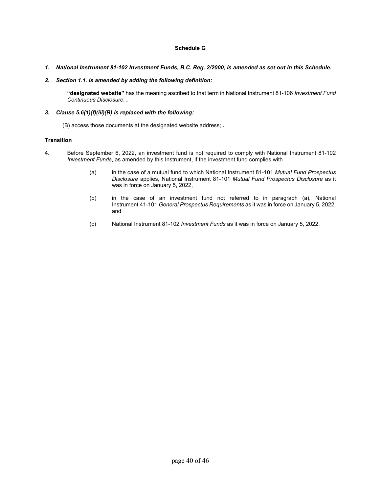# **Schedule G**

- *1. National Instrument 81-102 Investment Funds, B.C. Reg. 2/2000, is amended as set out in this Schedule.*
- *2. Section 1.1. is amended by adding the following definition:*

**"designated website"** has the meaning ascribed to that term in National Instrument 81-106 *Investment Fund Continuous Disclosure*; *.*

# *3. Clause 5.6(1)(f)(iii)(B) is replaced with the following:*

(B) access those documents at the designated website address; *.* 

# **Transition**

- 4. Before September 6, 2022, an investment fund is not required to comply with National Instrument 81-102 *Investment Funds*, as amended by this Instrument, if the investment fund complies with
	- (a) in the case of a mutual fund to which National Instrument 81-101 *Mutual Fund Prospectus Disclosure* applies, National Instrument 81-101 *Mutual Fund Prospectus Disclosure* as it was in force on January 5, 2022,
	- (b) in the case of an investment fund not referred to in paragraph (a), National Instrument 41-101 *General Prospectus Requirements* as it was in force on January 5, 2022, and
	- (c) National Instrument 81-102 *Investment Funds* as it was in force on January 5, 2022.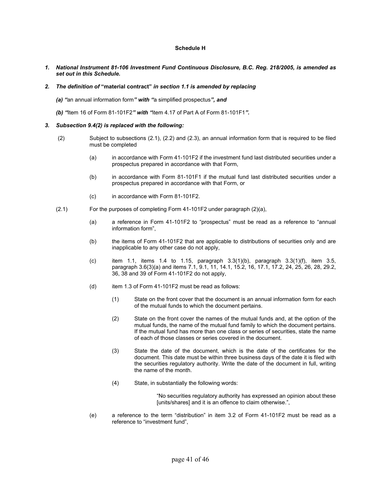# **Schedule H**

*1. National Instrument 81-106 Investment Fund Continuous Disclosure, B.C. Reg. 218/2005, is amended as set out in this Schedule.* 

#### *2. The definition of* **"material contract"** *in section 1.1 is amended by replacing*

- *(a) "*an annual information form*" with "*a simplified prospectus*", and*
- *(b) "*Item 16 of Form 81-101F2*" with "*item 4.17 of Part A of Form 81-101F1*".*

#### *3. Subsection 9.4(2) is replaced with the following:*

- (2)Subject to subsections (2.1), (2.2) and (2.3), an annual information form that is required to be filed must be completed
	- (a) in accordance with Form 41-101F2 if the investment fund last distributed securities under a prospectus prepared in accordance with that Form,
	- (b) in accordance with Form 81-101F1 if the mutual fund last distributed securities under a prospectus prepared in accordance with that Form, or
	- (c) in accordance with Form 81-101F2.
- (2.1)For the purposes of completing Form 41-101F2 under paragraph (2)(a),
	- (a) a reference in Form 41-101F2 to "prospectus" must be read as a reference to "annual information form",
	- (b) the items of Form 41-101F2 that are applicable to distributions of securities only and are inapplicable to any other case do not apply,
	- (c) item 1.1, items 1.4 to 1.15, paragraph  $3.3(1)(b)$ , paragraph  $3.3(1)(f)$ , item 3.5, paragraph 3.6(3)(a) and items 7.1, 9.1, 11, 14.1, 15.2, 16, 17.1, 17.2, 24, 25, 26, 28, 29.2, 36, 38 and 39 of Form 41-101F2 do not apply,
	- (d) item 1.3 of Form 41-101F2 must be read as follows:
		- (1) State on the front cover that the document is an annual information form for each of the mutual funds to which the document pertains.
		- (2) State on the front cover the names of the mutual funds and, at the option of the mutual funds, the name of the mutual fund family to which the document pertains. If the mutual fund has more than one class or series of securities, state the name of each of those classes or series covered in the document.
		- (3) State the date of the document, which is the date of the certificates for the document. This date must be within three business days of the date it is filed with the securities regulatory authority. Write the date of the document in full, writing the name of the month.
		- (4) State, in substantially the following words:

"No securities regulatory authority has expressed an opinion about these [units/shares] and it is an offence to claim otherwise.",

(e) a reference to the term "distribution" in item 3.2 of Form 41-101F2 must be read as a reference to "investment fund",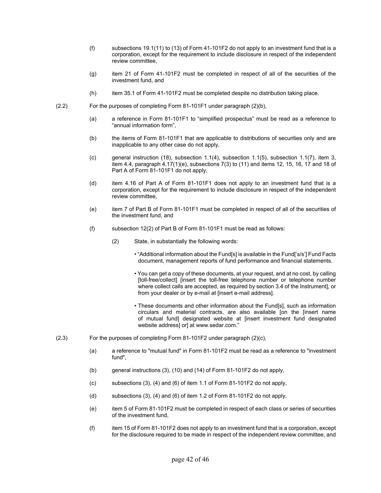- (f) subsections 19.1(11) to (13) of Form 41-101F2 do not apply to an investment fund that is a corporation, except for the requirement to include disclosure in respect of the independent review committee,
- (g) item 21 of Form 41-101F2 must be completed in respect of all of the securities of the investment fund, and
- (h) item 35.1 of Form 41-101F2 must be completed despite no distribution taking place.
- (2.2)For the purposes of completing Form 81-101F1 under paragraph (2)(b),
	- (a) a reference in Form 81-101F1 to "simplified prospectus" must be read as a reference to "annual information form",
	- (b) the items of Form 81-101F1 that are applicable to distributions of securities only and are inapplicable to any other case do not apply,
	- (c) general instruction (18), subsection 1.1(4), subsection 1.1(5), subsection 1.1(7), item 3, item 4.4, paragraph 4.17(1)(e), subsections 7(3) to (11) and items 12, 15, 16, 17 and 18 of Part A of Form 81-101F1 do not apply,
	- (d) item 4.16 of Part A of Form 81-101F1 does not apply to an investment fund that is a corporation, except for the requirement to include disclosure in respect of the independent review committee,
	- (e) item 7 of Part B of Form 81-101F1 must be completed in respect of all of the securities of the investment fund, and
	- (f) subsection 12(2) of Part B of Form 81-101F1 must be read as follows:
		- (2) State, in substantially the following words:
			- "Additional information about the Fund[s] is available in the Fund['s/s'] Fund Facts document, management reports of fund performance and financial statements.
			- You can get a copy of these documents, at your request, and at no cost, by calling [toll-free/collect] [insert the toll-free telephone number or telephone number where collect calls are accepted, as required by section 3.4 of the Instrument], or from your dealer or by e-mail at [insert e-mail address].
			- These documents and other information about the Fund[s], such as information circulars and material contracts, are also available [on the [insert name of mutual fund] designated website at [insert investment fund designated website address] or] at www.sedar.com."
- (2.3) For the purposes of completing Form 81-101F2 under paragraph (2)(c),
	- (a) a reference to "mutual fund" in Form 81-101F2 must be read as a reference to "investment fund",
	- (b) general instructions (3), (10) and (14) of Form 81-101F2 do not apply,
	- (c) subsections (3), (4) and (6) of item 1.1 of Form 81-101F2 do not apply,
	- (d) subsections  $(3)$ ,  $(4)$  and  $(6)$  of item 1.2 of Form 81-101F2 do not apply,
	- (e) item 5 of Form 81-101F2 must be completed in respect of each class or series of securities of the investment fund,
	- (f) item 15 of Form 81-101F2 does not apply to an investment fund that is a corporation, except for the disclosure required to be made in respect of the independent review committee, and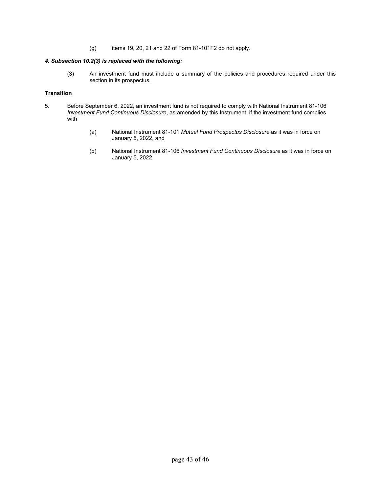(g) items 19, 20, 21 and 22 of Form 81-101F2 do not apply.

# *4. Subsection 10.2(3) is replaced with the following:*

(3) An investment fund must include a summary of the policies and procedures required under this section in its prospectus*.*

# **Transition**

- 5. Before September 6, 2022, an investment fund is not required to comply with National Instrument 81-106 *Investment Fund Continuous Disclosure*, as amended by this Instrument, if the investment fund complies with
	- (a) National Instrument 81-101 *Mutual Fund Prospectus Disclosure* as it was in force on January 5, 2022, and
	- (b) National Instrument 81-106 *Investment Fund Continuous Disclosure* as it was in force on January 5, 2022.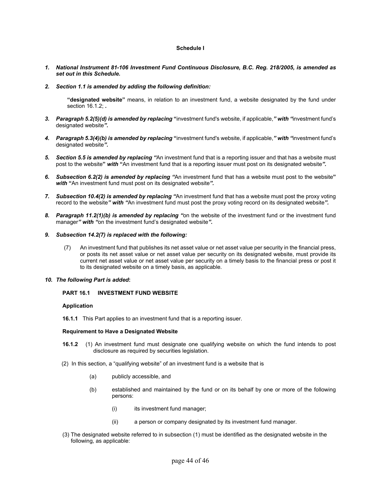# **Schedule I**

- *1. National Instrument 81-106 Investment Fund Continuous Disclosure, B.C. Reg. 218/2005, is amended as set out in this Schedule.*
- *2. Section 1.1 is amended by adding the following definition:*

**"designated website"** means, in relation to an investment fund, a website designated by the fund under section 16.1.2; *.* 

- *3. Paragraph 5.2(5)(d) is amended by replacing* **"**investment fund's website, if applicable,*" with "*investment fund's designated website*".*
- *4. Paragraph 5.3(4)(b) is amended by replacing* **"**investment fund's website, if applicable,*" with "*investment fund's designated website*".*
- *5. Section 5.5 is amended by replacing "*An investment fund that is a reporting issuer and that has a website must post to the website**"** *with* **"**An investment fund that is a reporting issuer must post on its designated website*".*
- *6. Subsection 6.2(2) is amended by replacing "*An investment fund that has a website must post to the website**"** *with* **"**An investment fund must post on its designated website*".*
- *7. Subsection 10.4(2) is amended by replacing "*An investment fund that has a website must post the proxy voting record to the website*" with "*An investment fund must post the proxy voting record on its designated website*".*
- *8. Paragraph 11.2(1)(b) is amended by replacing "*on the website of the investment fund or the investment fund manager*" with "*on the investment fund's designated website*".*
- *9. Subsection 14.2(7) is replaced with the following:* 
	- (7)An investment fund that publishes its net asset value or net asset value per security in the financial press, or posts its net asset value or net asset value per security on its designated website, must provide its current net asset value or net asset value per security on a timely basis to the financial press or post it to its designated website on a timely basis, as applicable.
- *10. The following Part is added***:**

# **PART 16.1 INVESTMENT FUND WEBSITE**

#### **Application**

**16.1.1** This Part applies to an investment fund that is a reporting issuer.

#### **Requirement to Have a Designated Website**

- **16.1.2** (1) An investment fund must designate one qualifying website on which the fund intends to post disclosure as required by securities legislation.
- (2) In this section, a "qualifying website" of an investment fund is a website that is
	- (a) publicly accessible, and
	- (b) established and maintained by the fund or on its behalf by one or more of the following persons:
		- $(i)$  its investment fund manager;
		- (ii) a person or company designated by its investment fund manager.
- (3) The designated website referred to in subsection (1) must be identified as the designated website in the following, as applicable: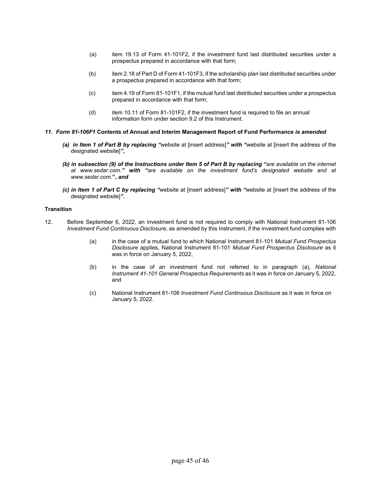- (a) item 19.13 of Form 41-101F2, if the investment fund last distributed securities under a prospectus prepared in accordance with that form;
- (b) item 2.18 of Part D of Form 41-101F3, if the scholarship plan last distributed securities under a prospectus prepared in accordance with that form;
- (c) item 4.19 of Form 81-101F1, if the mutual fund last distributed securities under a prospectus prepared in accordance with that form;
- (d) item 10.11 of Form 81-101F2, if the investment fund is required to file an annual information form under section 9.2 of this Instrument.
- *11. Form 81-106F1* **Contents of Annual and Interim Management Report of Fund Performance** *is amended* 
	- *(a) in Item 1 of Part B by replacing "*website at [insert address]*" with "*website at [insert the address of the designated website]*",*
	- *(b) in subsection (9) of the Instructions under Item 5 of Part B by replacing "are available on the internet at www.sedar.com." with "are available on the investment fund's designated website and at www.sedar.com.***",** *and*
	- *(c) in Item 1 of Part C by replacing "*website at [insert address]*" with "*website at [insert the address of the designated website]*".*

# **Transition**

- 12. Before September 6, 2022, an investment fund is not required to comply with National Instrument 81-106 *Investment Fund Continuous Disclosure*, as amended by this Instrument, if the investment fund complies with
	- (a) in the case of a mutual fund to which National Instrument 81-101 *Mutual Fund Prospectus Disclosure* applies, National Instrument 81-101 *Mutual Fund Prospectus Disclosure* as it was in force on January 5, 2022,
	- (b) in the case of an investment fund not referred to in paragraph (a), *National Instrument 41-101 General Prospectus Requirements* as it was in force on January 5, 2022, and
	- (c) National Instrument 81-106 *Investment Fund Continuous Disclosure* as it was in force on January 5, 2022.